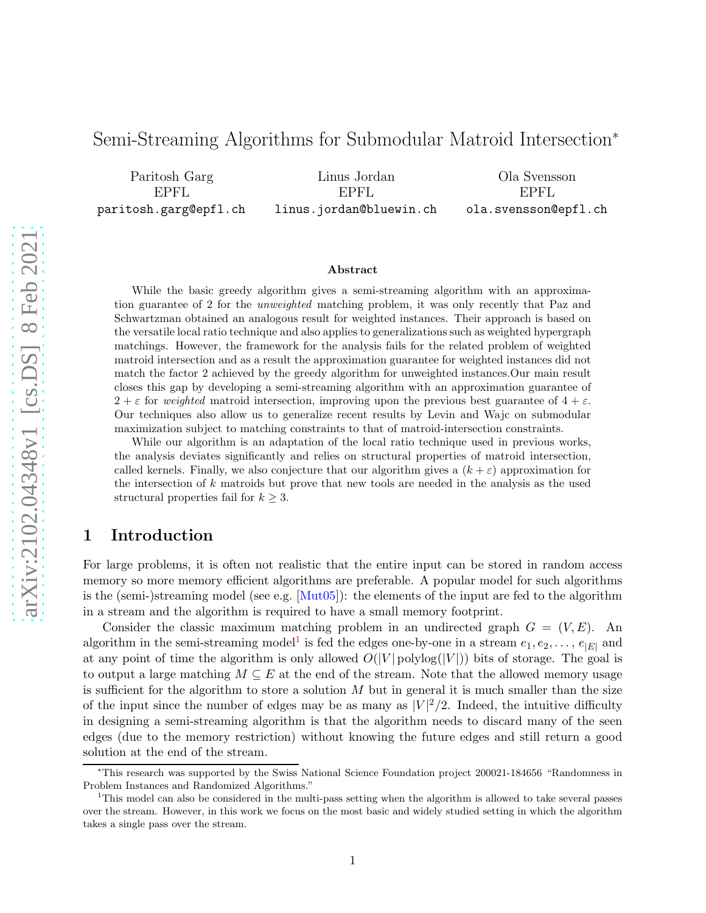# Semi-Streaming Algorithms for Submodular Matroid Intersection<sup>∗</sup>

Paritosh Garg EPFL paritosh.garg@epfl.ch

Linus Jordan EPFL linus.jordan@bluewin.ch

Ola Svensson EPFL ola.svensson@epfl.ch

#### Abstract

While the basic greedy algorithm gives a semi-streaming algorithm with an approximation guarantee of 2 for the unweighted matching problem, it was only recently that Paz and Schwartzman obtained an analogous result for weighted instances. Their approach is based on the versatile local ratio technique and also applies to generalizations such as weighted hypergraph matchings. However, the framework for the analysis fails for the related problem of weighted matroid intersection and as a result the approximation guarantee for weighted instances did not match the factor 2 achieved by the greedy algorithm for unweighted instances.Our main result closes this gap by developing a semi-streaming algorithm with an approximation guarantee of  $2 + \varepsilon$  for weighted matroid intersection, improving upon the previous best guarantee of  $4 + \varepsilon$ . Our techniques also allow us to generalize recent results by Levin and Wajc on submodular maximization subject to matching constraints to that of matroid-intersection constraints.

While our algorithm is an adaptation of the local ratio technique used in previous works, the analysis deviates significantly and relies on structural properties of matroid intersection, called kernels. Finally, we also conjecture that our algorithm gives a  $(k + \varepsilon)$  approximation for the intersection of  $k$  matroids but prove that new tools are needed in the analysis as the used structural properties fail for  $k \geq 3$ .

## 1 Introduction

For large problems, it is often not realistic that the entire input can be stored in random access memory so more memory efficient algorithms are preferable. A popular model for such algorithms is the (semi-)streaming model (see e.g.  $[Mut05]$ ): the elements of the input are fed to the algorithm in a stream and the algorithm is required to have a small memory footprint.

Consider the classic maximum matching problem in an undirected graph  $G = (V, E)$ . An algorithm in the semi-streaming model<sup>[1](#page-0-0)</sup> is fed the edges one-by-one in a stream  $e_1, e_2, \ldots, e_{|E|}$  and at any point of time the algorithm is only allowed  $O(|V|)$  polylog $(|V|)$ ) bits of storage. The goal is to output a large matching  $M \subseteq E$  at the end of the stream. Note that the allowed memory usage is sufficient for the algorithm to store a solution  $M$  but in general it is much smaller than the size of the input since the number of edges may be as many as  $|V|^2/2$ . Indeed, the intuitive difficulty in designing a semi-streaming algorithm is that the algorithm needs to discard many of the seen edges (due to the memory restriction) without knowing the future edges and still return a good solution at the end of the stream.

<sup>∗</sup>This research was supported by the Swiss National Science Foundation project 200021-184656 "Randomness in Problem Instances and Randomized Algorithms."

<span id="page-0-0"></span><sup>1</sup>This model can also be considered in the multi-pass setting when the algorithm is allowed to take several passes over the stream. However, in this work we focus on the most basic and widely studied setting in which the algorithm takes a single pass over the stream.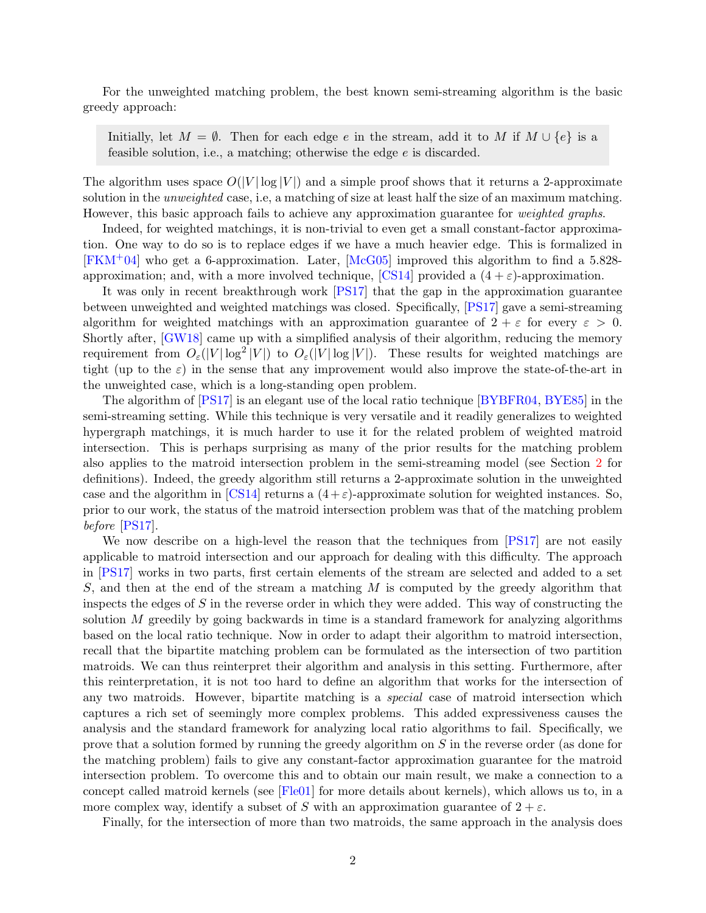For the unweighted matching problem, the best known semi-streaming algorithm is the basic greedy approach:

Initially, let  $M = \emptyset$ . Then for each edge e in the stream, add it to M if  $M \cup \{e\}$  is a feasible solution, i.e., a matching; otherwise the edge e is discarded.

The algorithm uses space  $O(|V| \log |V|)$  and a simple proof shows that it returns a 2-approximate solution in the unweighted case, i.e, a matching of size at least half the size of an maximum matching. However, this basic approach fails to achieve any approximation guarantee for *weighted graphs*.

Indeed, for weighted matchings, it is non-trivial to even get a small constant-factor approximation. One way to do so is to replace edges if we have a much heavier edge. This is formalized in  $[FKM+04]$  $[FKM+04]$  who get a 6-approximation. Later,  $[McG05]$  improved this algorithm to find a 5.828approximation; and, with a more involved technique,  $\text{[CS14]}$  provided a  $(4 + \varepsilon)$ -approximation.

It was only in recent breakthrough work [\[PS17\]](#page-19-3) that the gap in the approximation guarantee between unweighted and weighted matchings was closed. Specifically, [\[PS17\]](#page-19-3) gave a semi-streaming algorithm for weighted matchings with an approximation guarantee of  $2 + \varepsilon$  for every  $\varepsilon > 0$ . Shortly after, [\[GW18\]](#page-19-4) came up with a simplified analysis of their algorithm, reducing the memory requirement from  $O_{\varepsilon}(|V|\log^2|V|)$  to  $O_{\varepsilon}(|V|\log|V|)$ . These results for weighted matchings are tight (up to the  $\varepsilon$ ) in the sense that any improvement would also improve the state-of-the-art in the unweighted case, which is a long-standing open problem.

The algorithm of [\[PS17\]](#page-19-3) is an elegant use of the local ratio technique [\[BYBFR04,](#page-18-1) [BYE85\]](#page-18-2) in the semi-streaming setting. While this technique is very versatile and it readily generalizes to weighted hypergraph matchings, it is much harder to use it for the related problem of weighted matroid intersection. This is perhaps surprising as many of the prior results for the matching problem also applies to the matroid intersection problem in the semi-streaming model (see Section [2](#page-2-0) for definitions). Indeed, the greedy algorithm still returns a 2-approximate solution in the unweighted case and the algorithm in  $\left[CS14\right]$  returns a  $(4 + \varepsilon)$ -approximate solution for weighted instances. So, prior to our work, the status of the matroid intersection problem was that of the matching problem before [\[PS17\]](#page-19-3).

We now describe on a high-level the reason that the techniques from [\[PS17\]](#page-19-3) are not easily applicable to matroid intersection and our approach for dealing with this difficulty. The approach in [\[PS17\]](#page-19-3) works in two parts, first certain elements of the stream are selected and added to a set S, and then at the end of the stream a matching  $M$  is computed by the greedy algorithm that inspects the edges of  $S$  in the reverse order in which they were added. This way of constructing the solution  $M$  greedily by going backwards in time is a standard framework for analyzing algorithms based on the local ratio technique. Now in order to adapt their algorithm to matroid intersection, recall that the bipartite matching problem can be formulated as the intersection of two partition matroids. We can thus reinterpret their algorithm and analysis in this setting. Furthermore, after this reinterpretation, it is not too hard to define an algorithm that works for the intersection of any two matroids. However, bipartite matching is a *special* case of matroid intersection which captures a rich set of seemingly more complex problems. This added expressiveness causes the analysis and the standard framework for analyzing local ratio algorithms to fail. Specifically, we prove that a solution formed by running the greedy algorithm on S in the reverse order (as done for the matching problem) fails to give any constant-factor approximation guarantee for the matroid intersection problem. To overcome this and to obtain our main result, we make a connection to a concept called matroid kernels (see [\[Fle01\]](#page-19-5) for more details about kernels), which allows us to, in a more complex way, identify a subset of S with an approximation guarantee of  $2 + \varepsilon$ .

Finally, for the intersection of more than two matroids, the same approach in the analysis does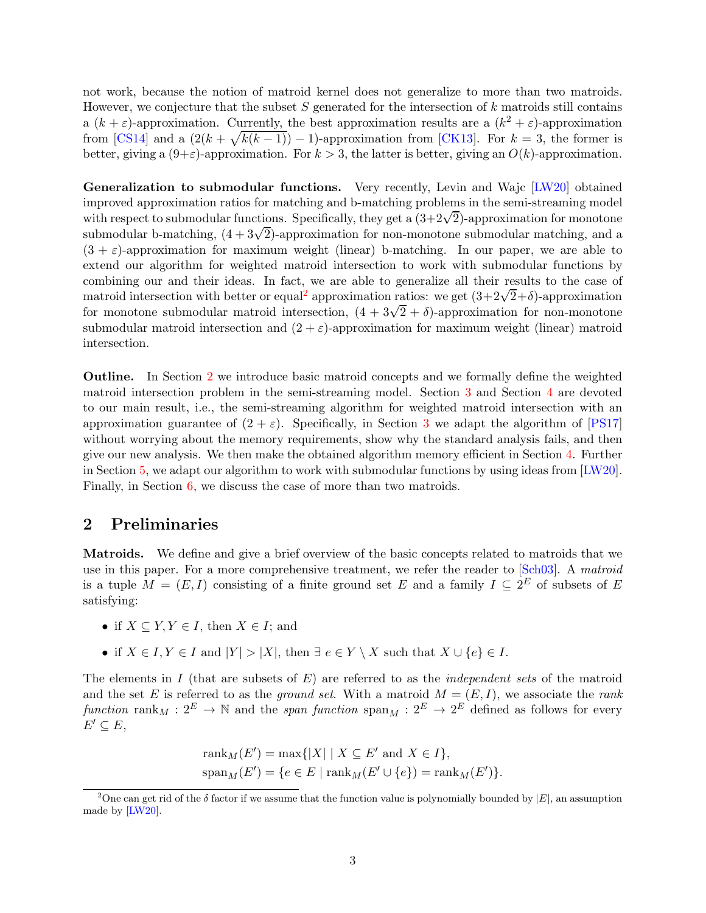not work, because the notion of matroid kernel does not generalize to more than two matroids. However, we conjecture that the subset  $S$  generated for the intersection of  $k$  matroids still contains a  $(k+\varepsilon)$ -approximation. Currently, the best approximation results are a  $(k^2 + \varepsilon)$ -approximation from [\[CS14\]](#page-18-0) and a  $(2(k+\sqrt{k(k-1)})-1)$ -approximation from [\[CK13\]](#page-18-3). For  $k=3$ , the former is better, giving a  $(9+\varepsilon)$ -approximation. For  $k > 3$ , the latter is better, giving an  $O(k)$ -approximation.

Generalization to submodular functions. Very recently, Levin and Wajc [\[LW20\]](#page-19-6) obtained improved approximation ratios for matching and b-matching problems in the semi-streaming model with respect to submodular functions. Specifically, they get a  $(3+2\sqrt{2})$ -approximation for monotone submodular b-matching,  $(4 + 3\sqrt{2})$ -approximation for non-monotone submodular matching, and a  $(3 + \varepsilon)$ -approximation for maximum weight (linear) b-matching. In our paper, we are able to extend our algorithm for weighted matroid intersection to work with submodular functions by combining our and their ideas. In fact, we are able to generalize all their results to the case of matroid intersection with better or equal<sup>[2](#page-2-1)</sup> approximation ratios: we get  $(3+2\sqrt{2}+\delta)$ -approximation for monotone submodular matroid intersection,  $(4 + 3\sqrt{2} + \delta)$ -approximation for non-monotone submodular matroid intersection and  $(2 + \varepsilon)$ -approximation for maximum weight (linear) matroid intersection.

Outline. In Section [2](#page-2-0) we introduce basic matroid concepts and we formally define the weighted matroid intersection problem in the semi-streaming model. Section [3](#page-3-0) and Section [4](#page-9-0) are devoted to our main result, i.e., the semi-streaming algorithm for weighted matroid intersection with an approximation guarantee of  $(2 + \varepsilon)$ . Specifically, in Section [3](#page-3-0) we adapt the algorithm of [\[PS17\]](#page-19-3) without worrying about the memory requirements, show why the standard analysis fails, and then give our new analysis. We then make the obtained algorithm memory efficient in Section [4.](#page-9-0) Further in Section [5,](#page-12-0) we adapt our algorithm to work with submodular functions by using ideas from [\[LW20\]](#page-19-6). Finally, in Section [6,](#page-16-0) we discuss the case of more than two matroids.

### <span id="page-2-0"></span>2 Preliminaries

Matroids. We define and give a brief overview of the basic concepts related to matroids that we use in this paper. For a more comprehensive treatment, we refer the reader to [\[Sch03\]](#page-19-7). A matroid is a tuple  $M = (E, I)$  consisting of a finite ground set E and a family  $I \subseteq 2^E$  of subsets of E satisfying:

- if  $X \subseteq Y, Y \in I$ , then  $X \in I$ ; and
- if  $X \in I, Y \in I$  and  $|Y| > |X|$ , then  $\exists e \in Y \setminus X$  such that  $X \cup \{e\} \in I$ .

The elements in I (that are subsets of  $E$ ) are referred to as the *independent sets* of the matroid and the set E is referred to as the ground set. With a matroid  $M = (E, I)$ , we associate the rank function rank $M: 2^E \to \mathbb{N}$  and the span function  $\text{span}_M: 2^E \to 2^E$  defined as follows for every  $E' \subseteq E$ ,

$$
rank_M(E') = \max\{|X| \mid X \subseteq E' \text{ and } X \in I\},\
$$

$$
span_M(E') = \{e \in E \mid \text{rank}_M(E' \cup \{e\}) = \text{rank}_M(E')\}.
$$

<span id="page-2-1"></span><sup>&</sup>lt;sup>2</sup>One can get rid of the  $\delta$  factor if we assume that the function value is polynomially bounded by  $|E|$ , an assumption made by [\[LW20\]](#page-19-6).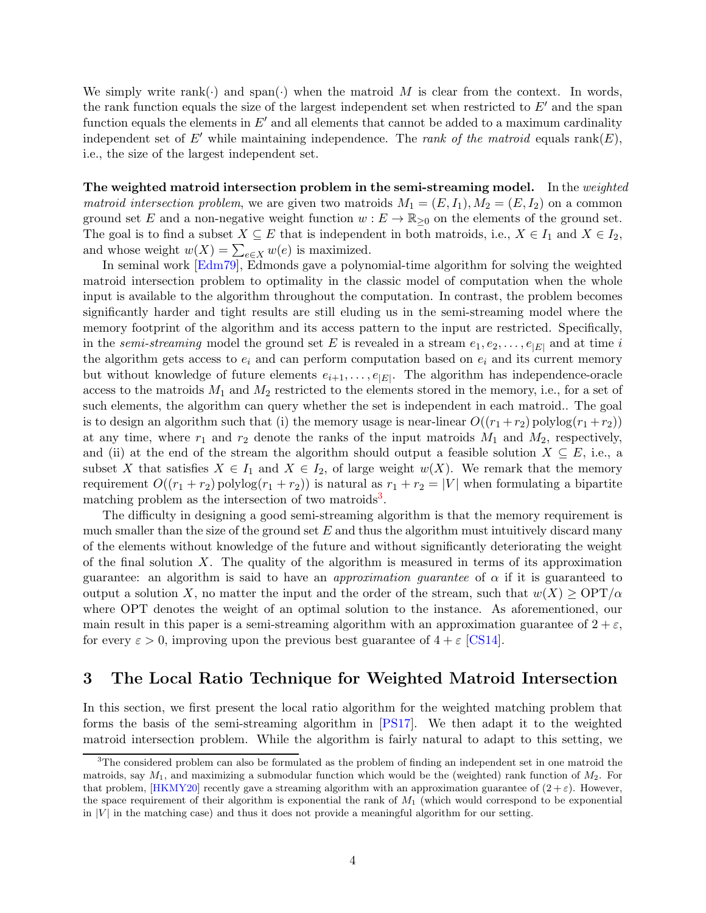We simply write rank( $\cdot$ ) and span( $\cdot$ ) when the matroid M is clear from the context. In words, the rank function equals the size of the largest independent set when restricted to  $E'$  and the span function equals the elements in  $E'$  and all elements that cannot be added to a maximum cardinality independent set of E' while maintaining independence. The rank of the matroid equals rank(E), i.e., the size of the largest independent set.

The weighted matroid intersection problem in the semi-streaming model. In the weighted matroid intersection problem, we are given two matroids  $M_1 = (E, I_1), M_2 = (E, I_2)$  on a common ground set E and a non-negative weight function  $w : E \to \mathbb{R}_{\geq 0}$  on the elements of the ground set. The goal is to find a subset  $X \subseteq E$  that is independent in both matroids, i.e.,  $X \in I_1$  and  $X \in I_2$ , and whose weight  $w(X) = \sum_{e \in X} w(e)$  is maximized.

In seminal work [\[Edm79\]](#page-18-4), Edmonds gave a polynomial-time algorithm for solving the weighted matroid intersection problem to optimality in the classic model of computation when the whole input is available to the algorithm throughout the computation. In contrast, the problem becomes significantly harder and tight results are still eluding us in the semi-streaming model where the memory footprint of the algorithm and its access pattern to the input are restricted. Specifically, in the semi-streaming model the ground set E is revealed in a stream  $e_1, e_2, \ldots, e_{|E|}$  and at time i the algorithm gets access to  $e_i$  and can perform computation based on  $e_i$  and its current memory but without knowledge of future elements  $e_{i+1}, \ldots, e_{|E|}$ . The algorithm has independence-oracle access to the matroids  $M_1$  and  $M_2$  restricted to the elements stored in the memory, i.e., for a set of such elements, the algorithm can query whether the set is independent in each matroid.. The goal is to design an algorithm such that (i) the memory usage is near-linear  $O((r_1 + r_2)$  polylog $(r_1 + r_2))$ at any time, where  $r_1$  and  $r_2$  denote the ranks of the input matroids  $M_1$  and  $M_2$ , respectively, and (ii) at the end of the stream the algorithm should output a feasible solution  $X \subseteq E$ , i.e., a subset X that satisfies  $X \in I_1$  and  $X \in I_2$ , of large weight  $w(X)$ . We remark that the memory requirement  $O((r_1 + r_2)$  polylog $(r_1 + r_2))$  is natural as  $r_1 + r_2 = |V|$  when formulating a bipartite matching problem as the intersection of two matroids<sup>[3](#page-3-1)</sup>.

The difficulty in designing a good semi-streaming algorithm is that the memory requirement is much smaller than the size of the ground set  $E$  and thus the algorithm must intuitively discard many of the elements without knowledge of the future and without significantly deteriorating the weight of the final solution  $X$ . The quality of the algorithm is measured in terms of its approximation guarantee: an algorithm is said to have an *approximation quarantee* of  $\alpha$  if it is guaranteed to output a solution X, no matter the input and the order of the stream, such that  $w(X) \geq \text{OPT}/\alpha$ where OPT denotes the weight of an optimal solution to the instance. As aforementioned, our main result in this paper is a semi-streaming algorithm with an approximation guarantee of  $2 + \varepsilon$ , for every  $\varepsilon > 0$ , improving upon the previous best guarantee of  $4 + \varepsilon$  [\[CS14\]](#page-18-0).

### <span id="page-3-0"></span>3 The Local Ratio Technique for Weighted Matroid Intersection

In this section, we first present the local ratio algorithm for the weighted matching problem that forms the basis of the semi-streaming algorithm in [\[PS17\]](#page-19-3). We then adapt it to the weighted matroid intersection problem. While the algorithm is fairly natural to adapt to this setting, we

<span id="page-3-1"></span><sup>&</sup>lt;sup>3</sup>The considered problem can also be formulated as the problem of finding an independent set in one matroid the matroids, say  $M_1$ , and maximizing a submodular function which would be the (weighted) rank function of  $M_2$ . For that problem, [HKMY20] recently gave a streaming algorithm with an approximation guarantee of  $(2 + \varepsilon)$ . However, the space requirement of their algorithm is exponential the rank of  $M_1$  (which would correspond to be exponential in  $|V|$  in the matching case) and thus it does not provide a meaningful algorithm for our setting.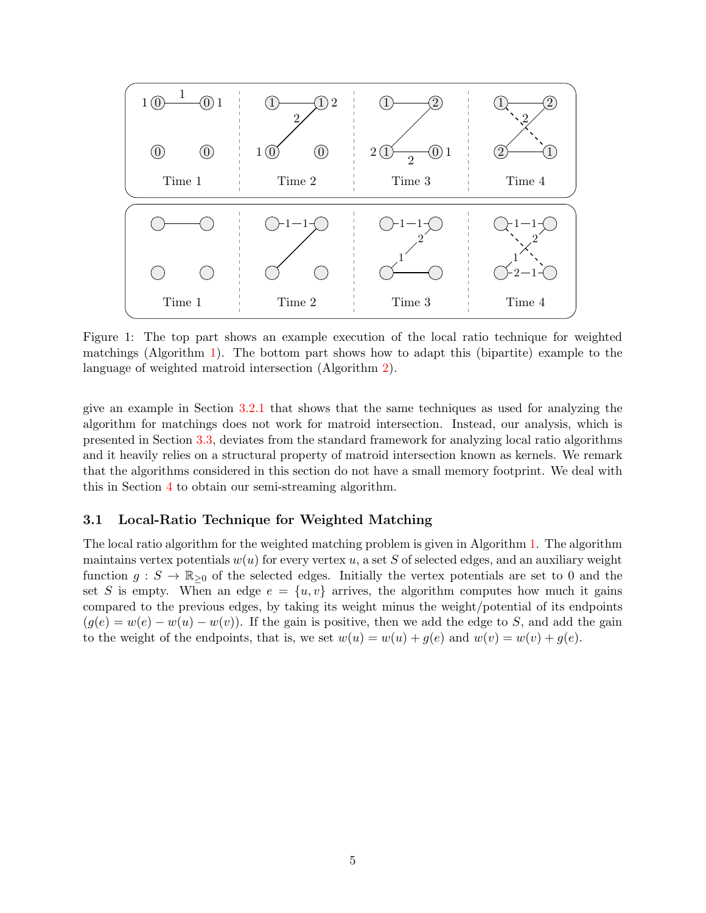<span id="page-4-0"></span>

Figure 1: The top part shows an example execution of the local ratio technique for weighted matchings (Algorithm [1\)](#page-5-0). The bottom part shows how to adapt this (bipartite) example to the language of weighted matroid intersection (Algorithm [2\)](#page-6-0).

give an example in Section [3.2.1](#page-7-0) that shows that the same techniques as used for analyzing the algorithm for matchings does not work for matroid intersection. Instead, our analysis, which is presented in Section [3.3,](#page-8-0) deviates from the standard framework for analyzing local ratio algorithms and it heavily relies on a structural property of matroid intersection known as kernels. We remark that the algorithms considered in this section do not have a small memory footprint. We deal with this in Section [4](#page-9-0) to obtain our semi-streaming algorithm.

### 3.1 Local-Ratio Technique for Weighted Matching

The local ratio algorithm for the weighted matching problem is given in Algorithm [1.](#page-5-0) The algorithm maintains vertex potentials  $w(u)$  for every vertex u, a set S of selected edges, and an auxiliary weight function  $g: S \to \mathbb{R}_{\geq 0}$  of the selected edges. Initially the vertex potentials are set to 0 and the set S is empty. When an edge  $e = \{u, v\}$  arrives, the algorithm computes how much it gains compared to the previous edges, by taking its weight minus the weight/potential of its endpoints  $(g(e) = w(e) - w(u) - w(v))$ . If the gain is positive, then we add the edge to S, and add the gain to the weight of the endpoints, that is, we set  $w(u) = w(u) + q(e)$  and  $w(v) = w(v) + q(e)$ .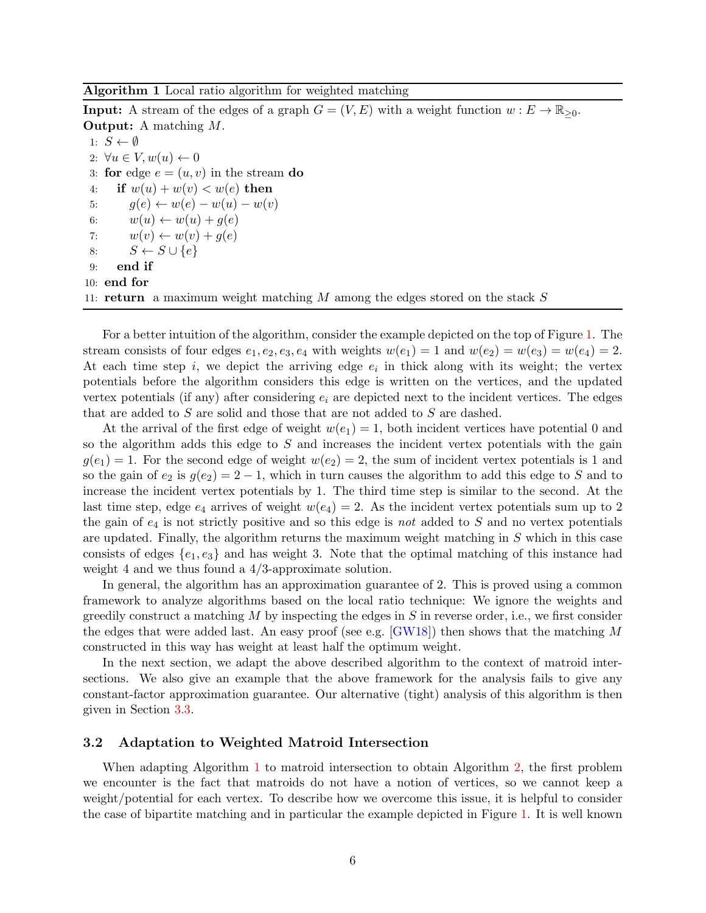#### <span id="page-5-0"></span>Algorithm 1 Local ratio algorithm for weighted matching

**Input:** A stream of the edges of a graph  $G = (V, E)$  with a weight function  $w : E \to \mathbb{R}_{\geq 0}$ . Output: A matching M.

1:  $S \leftarrow \emptyset$ 2:  $\forall u \in V, w(u) \leftarrow 0$ 3: for edge  $e = (u, v)$  in the stream do 4: if  $w(u) + w(v) < w(e)$  then 5:  $g(e) \leftarrow w(e) - w(u) - w(v)$ 6:  $w(u) \leftarrow w(u) + g(e)$ 7:  $w(v) \leftarrow w(v) + g(e)$ 8:  $S \leftarrow S \cup \{e\}$ 9: end if 10: end for 11: **return** a maximum weight matching M among the edges stored on the stack  $S$ 

For a better intuition of the algorithm, consider the example depicted on the top of Figure [1.](#page-4-0) The stream consists of four edges  $e_1, e_2, e_3, e_4$  with weights  $w(e_1) = 1$  and  $w(e_2) = w(e_3) = w(e_4) = 2$ . At each time step  $i$ , we depict the arriving edge  $e_i$  in thick along with its weight; the vertex potentials before the algorithm considers this edge is written on the vertices, and the updated vertex potentials (if any) after considering  $e_i$  are depicted next to the incident vertices. The edges that are added to S are solid and those that are not added to S are dashed.

At the arrival of the first edge of weight  $w(e_1) = 1$ , both incident vertices have potential 0 and so the algorithm adds this edge to  $S$  and increases the incident vertex potentials with the gain  $g(e_1) = 1$ . For the second edge of weight  $w(e_2) = 2$ , the sum of incident vertex potentials is 1 and so the gain of  $e_2$  is  $g(e_2) = 2 - 1$ , which in turn causes the algorithm to add this edge to S and to increase the incident vertex potentials by 1. The third time step is similar to the second. At the last time step, edge  $e_4$  arrives of weight  $w(e_4) = 2$ . As the incident vertex potentials sum up to 2 the gain of  $e_4$  is not strictly positive and so this edge is not added to S and no vertex potentials are updated. Finally, the algorithm returns the maximum weight matching in  $S$  which in this case consists of edges  $\{e_1, e_3\}$  and has weight 3. Note that the optimal matching of this instance had weight 4 and we thus found a 4/3-approximate solution.

In general, the algorithm has an approximation guarantee of 2. This is proved using a common framework to analyze algorithms based on the local ratio technique: We ignore the weights and greedily construct a matching  $M$  by inspecting the edges in  $S$  in reverse order, i.e., we first consider the edges that were added last. An easy proof (see e.g.  $(GW18)$ ) then shows that the matching M constructed in this way has weight at least half the optimum weight.

In the next section, we adapt the above described algorithm to the context of matroid intersections. We also give an example that the above framework for the analysis fails to give any constant-factor approximation guarantee. Our alternative (tight) analysis of this algorithm is then given in Section [3.3.](#page-8-0)

### 3.2 Adaptation to Weighted Matroid Intersection

When adapting Algorithm [1](#page-5-0) to matroid intersection to obtain Algorithm [2,](#page-6-0) the first problem we encounter is the fact that matroids do not have a notion of vertices, so we cannot keep a weight/potential for each vertex. To describe how we overcome this issue, it is helpful to consider the case of bipartite matching and in particular the example depicted in Figure [1.](#page-4-0) It is well known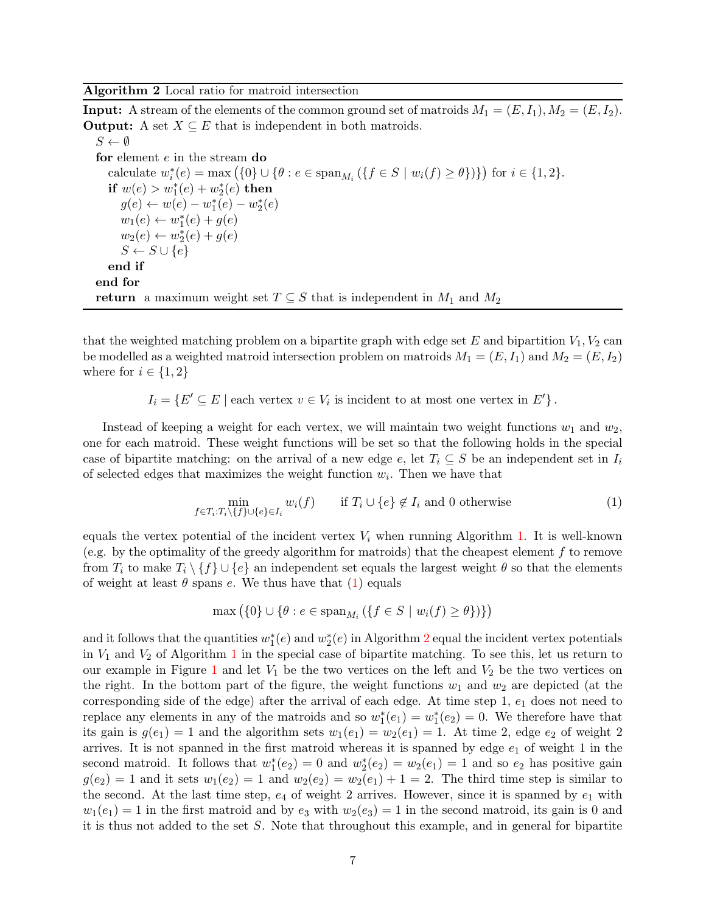<span id="page-6-0"></span>Algorithm 2 Local ratio for matroid intersection

**Input:** A stream of the elements of the common ground set of matroids  $M_1 = (E, I_1), M_2 = (E, I_2)$ . **Output:** A set  $X \subseteq E$  that is independent in both matroids.  $S \leftarrow \emptyset$ for element e in the stream do calculate  $w_i^*(e) = \max (\{0\} \cup \{\theta : e \in \text{span}_{M_i} (\{f \in S \mid w_i(f) \ge \theta\})\})$  for  $i \in \{1, 2\}$ . if  $w(e) > w_1^*(e) + w_2^*(e)$  then  $g(e) \leftarrow w(e) - w_1^*(e) - w_2^*(e)$  $w_1(e) \leftarrow w_1^*(e) + g(e)$  $w_2(e) \leftarrow w_2^*(e) + g(e)$  $S \leftarrow S \cup \{e\}$ end if end for

return a maximum weight set  $T \subseteq S$  that is independent in  $M_1$  and  $M_2$ 

that the weighted matching problem on a bipartite graph with edge set  $E$  and bipartition  $V_1, V_2$  can be modelled as a weighted matroid intersection problem on matroids  $M_1 = (E, I_1)$  and  $M_2 = (E, I_2)$ where for  $i \in \{1,2\}$ 

 $I_i = \{ E' \subseteq E \mid$  each vertex  $v \in V_i$  is incident to at most one vertex in  $E' \}$ .

Instead of keeping a weight for each vertex, we will maintain two weight functions  $w_1$  and  $w_2$ , one for each matroid. These weight functions will be set so that the following holds in the special case of bipartite matching: on the arrival of a new edge e, let  $T_i \subseteq S$  be an independent set in  $I_i$ of selected edges that maximizes the weight function  $w_i$ . Then we have that

$$
\min_{f \in T_i : T_i \setminus \{f\} \cup \{e\} \in I_i} w_i(f) \qquad \text{if } T_i \cup \{e\} \notin I_i \text{ and } 0 \text{ otherwise} \tag{1}
$$

equals the vertex potential of the incident vertex  $V_i$  when running Algorithm [1.](#page-5-0) It is well-known (e.g. by the optimality of the greedy algorithm for matroids) that the cheapest element f to remove from  $T_i$  to make  $T_i \setminus \{f\} \cup \{e\}$  an independent set equals the largest weight  $\theta$  so that the elements of weight at least  $\theta$  spans e. We thus have that [\(1\)](#page-6-1) equals

<span id="page-6-1"></span>
$$
\max\left(\{0\}\cup\{\theta: e\in \operatorname{span}_{M_i}\left(\{f\in S \mid w_i(f)\geq \theta\}\right)\}\right)
$$

and it follows that the quantities  $w_1^*(e)$  and  $w_2^*(e)$  $w_2^*(e)$  $w_2^*(e)$  in Algorithm 2 equal the incident vertex potentials in  $V_1$  $V_1$  and  $V_2$  of Algorithm 1 in the special case of bipartite matching. To see this, let us return to our example in Figure [1](#page-4-0) and let  $V_1$  be the two vertices on the left and  $V_2$  be the two vertices on the right. In the bottom part of the figure, the weight functions  $w_1$  and  $w_2$  are depicted (at the corresponding side of the edge) after the arrival of each edge. At time step 1,  $e_1$  does not need to replace any elements in any of the matroids and so  $w_1^*(e_1) = w_1^*(e_2) = 0$ . We therefore have that its gain is  $g(e_1) = 1$  and the algorithm sets  $w_1(e_1) = w_2(e_1) = 1$ . At time 2, edge  $e_2$  of weight 2 arrives. It is not spanned in the first matroid whereas it is spanned by edge  $e_1$  of weight 1 in the second matroid. It follows that  $w_1^*(e_2) = 0$  and  $w_2^*(e_2) = w_2(e_1) = 1$  and so  $e_2$  has positive gain  $g(e_2) = 1$  and it sets  $w_1(e_2) = 1$  and  $w_2(e_2) = w_2(e_1) + 1 = 2$ . The third time step is similar to the second. At the last time step,  $e_4$  of weight 2 arrives. However, since it is spanned by  $e_1$  with  $w_1(e_1) = 1$  in the first matroid and by  $e_3$  with  $w_2(e_3) = 1$  in the second matroid, its gain is 0 and it is thus not added to the set  $S$ . Note that throughout this example, and in general for bipartite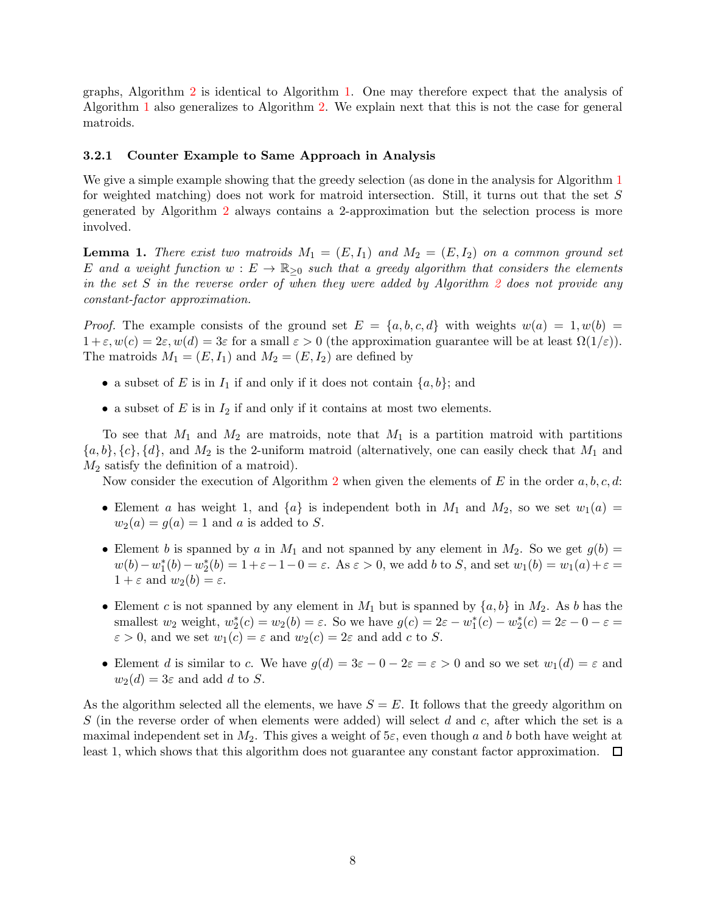graphs, Algorithm [2](#page-6-0) is identical to Algorithm [1.](#page-5-0) One may therefore expect that the analysis of Algorithm [1](#page-5-0) also generalizes to Algorithm [2.](#page-6-0) We explain next that this is not the case for general matroids.

#### <span id="page-7-0"></span>3.2.1 Counter Example to Same Approach in Analysis

We give a simple example showing that the greedy selection (as done in the analysis for Algorithm [1](#page-5-0)) for weighted matching) does not work for matroid intersection. Still, it turns out that the set S generated by Algorithm [2](#page-6-0) always contains a 2-approximation but the selection process is more involved.

**Lemma 1.** There exist two matroids  $M_1 = (E, I_1)$  and  $M_2 = (E, I_2)$  on a common ground set E and a weight function  $w : E \to \mathbb{R}_{\geq 0}$  such that a greedy algorithm that considers the elements in the set  $S$  in the reverse order of when they were added by Algorithm  $2$  does not provide any constant-factor approximation.

*Proof.* The example consists of the ground set  $E = \{a, b, c, d\}$  with weights  $w(a) = 1, w(b) =$  $1+\varepsilon, w(c) = 2\varepsilon, w(d) = 3\varepsilon$  for a small  $\varepsilon > 0$  (the approximation guarantee will be at least  $\Omega(1/\varepsilon)$ ). The matroids  $M_1 = (E, I_1)$  and  $M_2 = (E, I_2)$  are defined by

- a subset of E is in  $I_1$  if and only if it does not contain  $\{a, b\}$ ; and
- a subset of  $E$  is in  $I_2$  if and only if it contains at most two elements.

To see that  $M_1$  and  $M_2$  are matroids, note that  $M_1$  is a partition matroid with partitions  $\{a, b\}, \{c\}, \{d\}$ , and  $M_2$  is the 2-uniform matroid (alternatively, one can easily check that  $M_1$  and  $M_2$  satisfy the definition of a matroid).

Now consider the execution of Algorithm [2](#page-6-0) when given the elements of E in the order  $a, b, c, d$ :

- Element a has weight 1, and  $\{a\}$  is independent both in  $M_1$  and  $M_2$ , so we set  $w_1(a) =$  $w_2(a) = g(a) = 1$  and a is added to S.
- Element b is spanned by a in  $M_1$  and not spanned by any element in  $M_2$ . So we get  $g(b)$  =  $w(b) - w_1^*(b) - w_2^*(b) = 1 + \varepsilon - 1 - 0 = \varepsilon$ . As  $\varepsilon > 0$ , we add b to S, and set  $w_1(b) = w_1(a) + \varepsilon =$  $1+\varepsilon$  and  $w_2(b)=\varepsilon$ .
- Element c is not spanned by any element in  $M_1$  but is spanned by  $\{a, b\}$  in  $M_2$ . As b has the smallest  $w_2$  weight,  $w_2^*(c) = w_2(b) = \varepsilon$ . So we have  $g(c) = 2\varepsilon - w_1^*(c) - w_2^*(c) = 2\varepsilon - 0 - \varepsilon =$  $\varepsilon > 0$ , and we set  $w_1(c) = \varepsilon$  and  $w_2(c) = 2\varepsilon$  and add c to S.
- Element d is similar to c. We have  $g(d) = 3\varepsilon 0 2\varepsilon = \varepsilon > 0$  and so we set  $w_1(d) = \varepsilon$  and  $w_2(d) = 3\varepsilon$  and add d to S.

As the algorithm selected all the elements, we have  $S = E$ . It follows that the greedy algorithm on S (in the reverse order of when elements were added) will select  $d$  and  $c$ , after which the set is a maximal independent set in  $M_2$ . This gives a weight of  $5\varepsilon$ , even though a and b both have weight at least 1, which shows that this algorithm does not guarantee any constant factor approximation.  $\Box$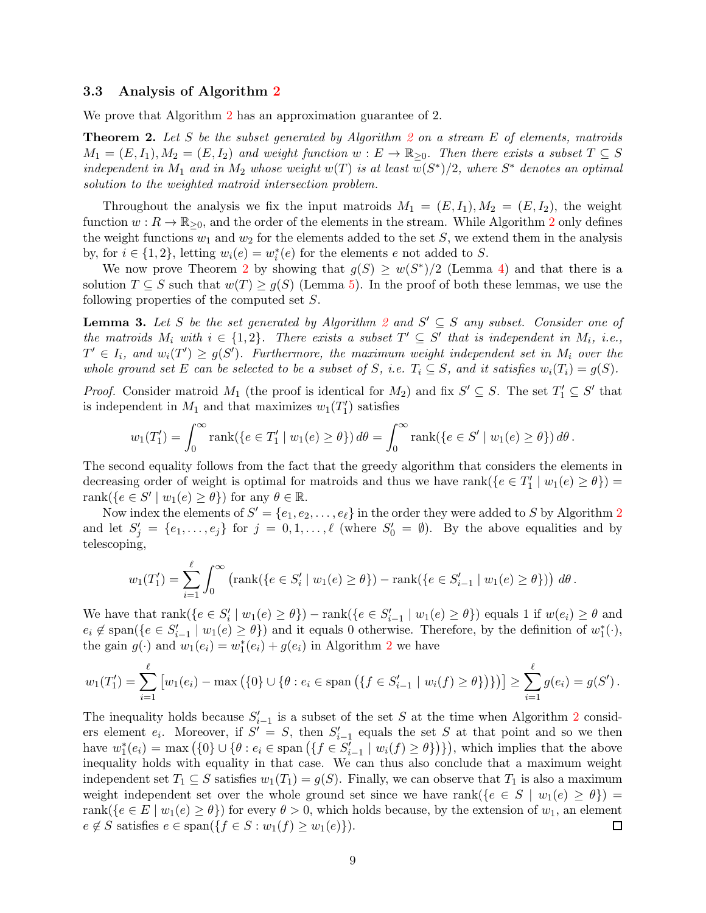#### <span id="page-8-0"></span>3.3 Analysis of Algorithm [2](#page-6-0)

<span id="page-8-1"></span>We prove that Algorithm [2](#page-6-0) has an approximation guarantee of 2.

**Theorem [2](#page-6-0).** Let S be the subset generated by Algorithm 2 on a stream  $E$  of elements, matroids  $M_1 = (E, I_1), M_2 = (E, I_2)$  and weight function  $w : E \to \mathbb{R}_{\geq 0}$ . Then there exists a subset  $T \subseteq S$ independent in  $M_1$  and in  $M_2$  whose weight  $w(T)$  is at least  $w(S^*)/2$ , where  $S^*$  denotes an optimal solution to the weighted matroid intersection problem.

Throughout the analysis we fix the input matroids  $M_1 = (E, I_1), M_2 = (E, I_2)$ , the weight function  $w: R \to \mathbb{R}_{\geq 0}$ , and the order of the elements in the stream. While Algorithm [2](#page-6-0) only defines the weight functions  $w_1$  and  $w_2$  for the elements added to the set S, we extend them in the analysis by, for  $i \in \{1,2\}$ , letting  $w_i(e) = w_i^*(e)$  for the elements e not added to S.

We now prove Theorem [2](#page-8-1) by showing that  $g(S) \geq w(S^*)/2$  (Lemma [4\)](#page-9-1) and that there is a solution  $T \subseteq S$  such that  $w(T) \ge g(S)$  (Lemma [5\)](#page-9-2). In the proof of both these lemmas, we use the following properties of the computed set S.

<span id="page-8-2"></span>**Lemma 3.** Let S be the set generated by Algorithm [2](#page-6-0) and  $S' \subseteq S$  any subset. Consider one of the matroids  $M_i$  with  $i \in \{1,2\}$ . There exists a subset  $T' \subseteq S'$  that is independent in  $M_i$ , i.e.,  $T' \in I_i$ , and  $w_i(T') \ge g(S')$ . Furthermore, the maximum weight independent set in  $M_i$  over the whole ground set E can be selected to be a subset of S, i.e.  $T_i \subseteq S$ , and it satisfies  $w_i(T_i) = g(S)$ .

*Proof.* Consider matroid  $M_1$  (the proof is identical for  $M_2$ ) and fix  $S' \subseteq S$ . The set  $T'_1 \subseteq S'$  that is independent in  $M_1$  and that maximizes  $w_1(T_1')$  satisfies

$$
w_1(T_1') = \int_0^\infty \operatorname{rank}(\{e \in T_1' \mid w_1(e) \ge \theta\}) d\theta = \int_0^\infty \operatorname{rank}(\{e \in S' \mid w_1(e) \ge \theta\}) d\theta.
$$

The second equality follows from the fact that the greedy algorithm that considers the elements in decreasing order of weight is optimal for matroids and thus we have rank $(\{e \in T'_1 \mid w_1(e) \ge \theta\})$ rank $(\{e \in S' \mid w_1(e) \ge \theta\})$  for any  $\theta \in \mathbb{R}$ .

Now index the elements of  $S' = \{e_1, e_2, \ldots, e_\ell\}$  $S' = \{e_1, e_2, \ldots, e_\ell\}$  $S' = \{e_1, e_2, \ldots, e_\ell\}$  in the order they were added to S by Algorithm 2 and let  $S'_j = \{e_1, \ldots, e_j\}$  for  $j = 0, 1, \ldots, \ell$  (where  $S'_0 = \emptyset$ ). By the above equalities and by telescoping,

$$
w_1(T_1') = \sum_{i=1}^{\ell} \int_0^{\infty} \left( \text{rank}(\{e \in S_i' \mid w_1(e) \ge \theta\}) - \text{rank}(\{e \in S_{i-1}' \mid w_1(e) \ge \theta\}) \right) d\theta.
$$

We have that  $\text{rank}(\{e \in S_i' \mid w_1(e) \ge \theta\}) - \text{rank}(\{e \in S_{i-1}' \mid w_1(e) \ge \theta\})$  equals 1 if  $w(e_i) \ge \theta$  and  $e_i \notin \text{span}(\{e \in S'_{i-1} \mid w_1(e) \geq \theta\})$  and it equals 0 otherwise. Therefore, by the definition of  $w_1^*(\cdot)$ , the gain  $g(\cdot)$  and  $w_1(e_i) = w_1^*(e_i) + g(e_i)$  in Algorithm [2](#page-6-0) we have

$$
w_1(T'_1) = \sum_{i=1}^{\ell} \left[ w_1(e_i) - \max\left( \{0\} \cup \{\theta : e_i \in \text{span}\left( \{ f \in S'_{i-1} \mid w_i(f) \ge \theta \} \right) \} \right) \right] \ge \sum_{i=1}^{\ell} g(e_i) = g(S').
$$

The inequality holds because  $S'_{i-1}$  is a subset of the set S at the time when Algorithm [2](#page-6-0) considers element  $e_i$ . Moreover, if  $S' = S$ , then  $S'_{i-1}$  equals the set S at that point and so we then have  $w_1^*(e_i) = \max(\{0\} \cup \{\theta : e_i \in \text{span}(\{f \in S'_{i-1} \mid w_i(f) \ge \theta\})\})$ , which implies that the above inequality holds with equality in that case. We can thus also conclude that a maximum weight independent set  $T_1 \subseteq S$  satisfies  $w_1(T_1) = g(S)$ . Finally, we can observe that  $T_1$  is also a maximum weight independent set over the whole ground set since we have rank( ${e \in S \mid w_1(e) \geq \theta}$ ) = rank({ $e \in E \mid w_1(e) \ge \theta$ }) for every  $\theta > 0$ , which holds because, by the extension of  $w_1$ , an element  $e \notin S$  satisfies  $e \in \text{span}(\{f \in S : w_1(f) \geq w_1(e)\}).$ 囗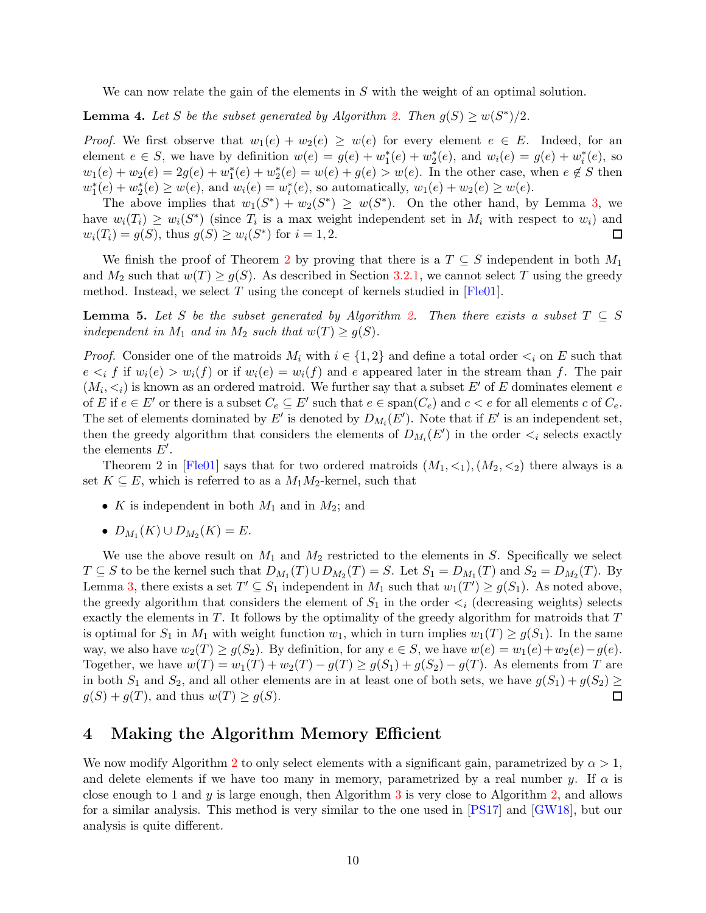<span id="page-9-1"></span>We can now relate the gain of the elements in  $S$  with the weight of an optimal solution.

**Lemma 4.** Let S be the subset generated by Algorithm [2.](#page-6-0) Then  $g(S) \geq w(S^*)/2$ .

*Proof.* We first observe that  $w_1(e) + w_2(e) \geq w(e)$  for every element  $e \in E$ . Indeed, for an element  $e \in S$ , we have by definition  $w(e) = g(e) + w_1^*(e) + w_2^*(e)$ , and  $w_i(e) = g(e) + w_i^*(e)$ , so  $w_1(e) + w_2(e) = 2g(e) + w_1^*(e) + w_2^*(e) = w(e) + g(e) > w(e)$ . In the other case, when  $e \notin S$  then  $w_1^*(e) + w_2^*(e) \ge w(e)$ , and  $w_i(e) = w_i^*(e)$ , so automatically,  $w_1(e) + w_2(e) \ge w(e)$ .

The above implies that  $w_1(S^*) + w_2(S^*) \geq w(S^*)$ . On the other hand, by Lemma [3,](#page-8-2) we have  $w_i(T_i) \geq w_i(S^*)$  (since  $T_i$  is a max weight independent set in  $M_i$  with respect to  $w_i$ ) and  $w_i(T_i) = g(S)$ , thus  $g(S) \ge w_i(S^*)$  for  $i = 1, 2$ .  $\Box$ 

We finish the proof of Theorem [2](#page-8-1) by proving that there is a  $T \subseteq S$  independent in both  $M_1$ and  $M_2$  such that  $w(T) \ge g(S)$ . As described in Section [3.2.1,](#page-7-0) we cannot select T using the greedy method. Instead, we select  $T$  using the concept of kernels studied in  $[Fle01]$ .

<span id="page-9-2"></span>**Lemma 5.** Let S be the subset generated by Algorithm [2.](#page-6-0) Then there exists a subset  $T \subseteq S$ independent in  $M_1$  and in  $M_2$  such that  $w(T) \geq g(S)$ .

*Proof.* Consider one of the matroids  $M_i$  with  $i \in \{1,2\}$  and define a total order  $\lt_i$  on E such that  $e \leq_i f$  if  $w_i(e) > w_i(f)$  or if  $w_i(e) = w_i(f)$  and e appeared later in the stream than f. The pair  $(M_i, \leq_i)$  is known as an ordered matroid. We further say that a subset E' of E dominates element e of E if  $e \in E'$  or there is a subset  $C_e \subseteq E'$  such that  $e \in span(C_e)$  and  $c < e$  for all elements c of  $C_e$ . The set of elements dominated by E' is denoted by  $D_{M_i}(E')$ . Note that if E' is an independent set, then the greedy algorithm that considers the elements of  $D_{M_i}(E')$  in the order  $\lt_i$  selects exactly the elements  $E'$ .

Theorem 2 in [\[Fle01\]](#page-19-5) says that for two ordered matroids  $(M_1, \leq_1), (M_2, \leq_2)$  there always is a set  $K \subseteq E$ , which is referred to as a  $M_1M_2$ -kernel, such that

- K is independent in both  $M_1$  and in  $M_2$ ; and
- $D_{M_1}(K) \cup D_{M_2}(K) = E.$

We use the above result on  $M_1$  and  $M_2$  restricted to the elements in S. Specifically we select  $T \subseteq S$  to be the kernel such that  $D_{M_1}(T) \cup D_{M_2}(T) = S$ . Let  $S_1 = D_{M_1}(T)$  and  $S_2 = D_{M_2}(T)$ . By Lemma [3,](#page-8-2) there exists a set  $T' \subseteq S_1$  independent in  $M_1$  such that  $w_1(T') \ge g(S_1)$ . As noted above, the greedy algorithm that considers the element of  $S_1$  in the order  $\lt_i$  (decreasing weights) selects exactly the elements in  $T$ . It follows by the optimality of the greedy algorithm for matroids that  $T$ is optimal for  $S_1$  in  $M_1$  with weight function  $w_1$ , which in turn implies  $w_1(T) \geq g(S_1)$ . In the same way, we also have  $w_2(T) \ge g(S_2)$ . By definition, for any  $e \in S$ , we have  $w(e) = w_1(e) + w_2(e) - g(e)$ . Together, we have  $w(T) = w_1(T) + w_2(T) - g(T) \ge g(S_1) + g(S_2) - g(T)$ . As elements from T are in both  $S_1$  and  $S_2$ , and all other elements are in at least one of both sets, we have  $g(S_1) + g(S_2) \ge g(S) + g(T)$ .  $g(S) + g(T)$ , and thus  $w(T) \ge g(S)$ .

## <span id="page-9-0"></span>4 Making the Algorithm Memory Efficient

We now modify Algorithm [2](#page-6-0) to only select elements with a significant gain, parametrized by  $\alpha > 1$ , and delete elements if we have too many in memory, parametrized by a real number y. If  $\alpha$  is close enough to 1 and  $y$  is large enough, then Algorithm [3](#page-11-0) is very close to Algorithm [2,](#page-6-0) and allows for a similar analysis. This method is very similar to the one used in [\[PS17\]](#page-19-3) and [\[GW18\]](#page-19-4), but our analysis is quite different.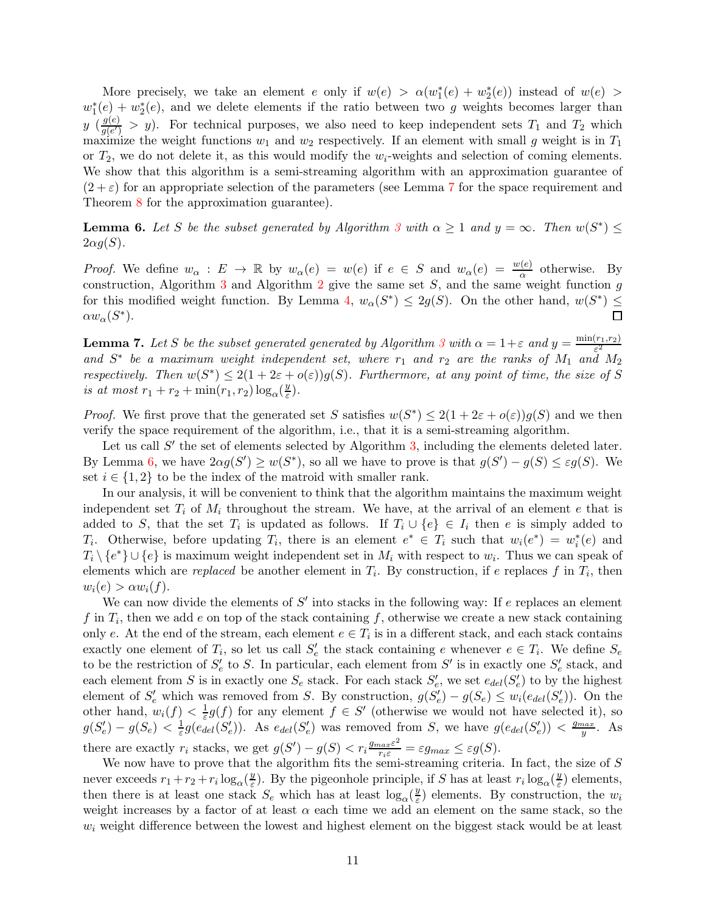More precisely, we take an element e only if  $w(e) > \alpha(w_1^*(e) + w_2^*(e))$  instead of  $w(e) >$  $w_1^*(e) + w_2^*(e)$ , and we delete elements if the ratio between two g weights becomes larger than  $y \left(\frac{g(e)}{g(e)}\right)$  $\frac{g(e)}{g(e')}$  > y). For technical purposes, we also need to keep independent sets  $T_1$  and  $T_2$  which maximize the weight functions  $w_1$  and  $w_2$  respectively. If an element with small g weight is in  $T_1$ or  $T_2$ , we do not delete it, as this would modify the  $w_i$ -weights and selection of coming elements. We show that this algorithm is a semi-streaming algorithm with an approximation guarantee of  $(2 + \varepsilon)$  for an appropriate selection of the parameters (see Lemma [7](#page-10-0) for the space requirement and Theorem [8](#page-11-1) for the approximation guarantee).

<span id="page-10-1"></span>**Lemma 6.** Let S be the subset generated by Algorithm [3](#page-11-0) with  $\alpha \geq 1$  and  $y = \infty$ . Then  $w(S^*) \leq$  $2\alpha g(S)$ .

*Proof.* We define  $w_{\alpha}: E \to \mathbb{R}$  by  $w_{\alpha}(e) = w(e)$  if  $e \in S$  and  $w_{\alpha}(e) = \frac{w(e)}{\alpha}$  otherwise. By construction, Algorithm [3](#page-11-0) and Algorithm [2](#page-6-0) give the same set  $S$ , and the same weight function  $g$ for this modified weight function. By Lemma [4,](#page-9-1)  $w_{\alpha}(S^*) \leq 2g(S)$ . On the other hand,  $w(S^*) \leq$  $\alpha w_{\alpha}(S^*)$ .

<span id="page-10-0"></span>**Lemma 7.** Let S be the subset generated generated by Algorithm [3](#page-11-0) with  $\alpha = 1 + \varepsilon$  and  $y = \frac{\min(r_1, r_2)}{\varepsilon^2}$  $\varepsilon^2$ and  $S^*$  be a maximum weight independent set, where  $r_1$  and  $r_2$  are the ranks of  $M_1$  and  $M_2$ respectively. Then  $w(S^*) \leq 2(1+2\varepsilon+o(\varepsilon))g(S)$ . Furthermore, at any point of time, the size of S is at most  $r_1 + r_2 + \min(r_1, r_2) \log_\alpha(\frac{y}{\varepsilon})$  $\frac{y}{\varepsilon}$ ).

*Proof.* We first prove that the generated set S satisfies  $w(S^*) \leq 2(1 + 2\varepsilon + o(\varepsilon))g(S)$  and we then verify the space requirement of the algorithm, i.e., that it is a semi-streaming algorithm.

Let us call  $S'$  the set of elements selected by Algorithm [3,](#page-11-0) including the elements deleted later. By Lemma [6,](#page-10-1) we have  $2\alpha g(S') \geq w(S^*)$ , so all we have to prove is that  $g(S') - g(S) \leq \varepsilon g(S)$ . We set  $i \in \{1,2\}$  to be the index of the matroid with smaller rank.

In our analysis, it will be convenient to think that the algorithm maintains the maximum weight independent set  $T_i$  of  $M_i$  throughout the stream. We have, at the arrival of an element e that is added to S, that the set  $T_i$  is updated as follows. If  $T_i \cup \{e\} \in I_i$  then e is simply added to  $T_i$ . Otherwise, before updating  $T_i$ , there is an element  $e^* \in T_i$  such that  $w_i(e^*) = w_i^*(e)$  and  $T_i \setminus \{e^*\} \cup \{e\}$  is maximum weight independent set in  $M_i$  with respect to  $w_i$ . Thus we can speak of elements which are *replaced* be another element in  $T_i$ . By construction, if e replaces f in  $T_i$ , then  $w_i(e) > \alpha w_i(f)$ .

We can now divide the elements of  $S'$  into stacks in the following way: If e replaces an element f in  $T_i$ , then we add e on top of the stack containing f, otherwise we create a new stack containing only e. At the end of the stream, each element  $e \in T_i$  is in a different stack, and each stack contains exactly one element of  $T_i$ , so let us call  $S'_e$  the stack containing e whenever  $e \in T_i$ . We define  $S_e$ to be the restriction of  $S'_e$  to S. In particular, each element from S' is in exactly one  $S'_e$  stack, and each element from S is in exactly one  $S_e$  stack. For each stack  $S'_e$ , we set  $e_{del}(S'_e)$  to by the highest element of  $S'_e$  which was removed from S. By construction,  $g(S'_e) - g(S_e) \leq w_i(e_{del}(S'_e))$ . On the other hand,  $w_i(f) < \frac{1}{\varepsilon}g(f)$  for any element  $f \in S'$  (otherwise we would not have selected it), so  $g(S'_e) - g(S_e) < \frac{1}{\varepsilon} g(\tilde{e}_{del}(S'_e))$ . As  $e_{del}(S'_e)$  was removed from S, we have  $g(e_{del}(S'_e)) < \frac{g_{max}}{y}$  $\frac{ax}{y}$ . As there are exactly  $r_i$  stacks, we get  $g(S') - g(S) < r_i \frac{g_{max} \varepsilon^2}{r_i \varepsilon} = \varepsilon g_{max} \leq \varepsilon g(S)$ .

We now have to prove that the algorithm fits the semi-streaming criteria. In fact, the size of S never exceeds  $r_1 + r_2 + r_i \log_\alpha(\frac{y}{\varepsilon})$  $\frac{y}{\varepsilon}$ ). By the pigeonhole principle, if S has at least  $r_i \log_\alpha(\frac{y}{\varepsilon})$  $\frac{y}{\varepsilon}$ ) elements, then there is at least one stack  $S_e$  which has at least  $\log_\alpha(\frac{y}{\varepsilon})$  $\frac{y}{\varepsilon}$ ) elements. By construction, the  $w_i$ weight increases by a factor of at least  $\alpha$  each time we add an element on the same stack, so the  $w_i$  weight difference between the lowest and highest element on the biggest stack would be at least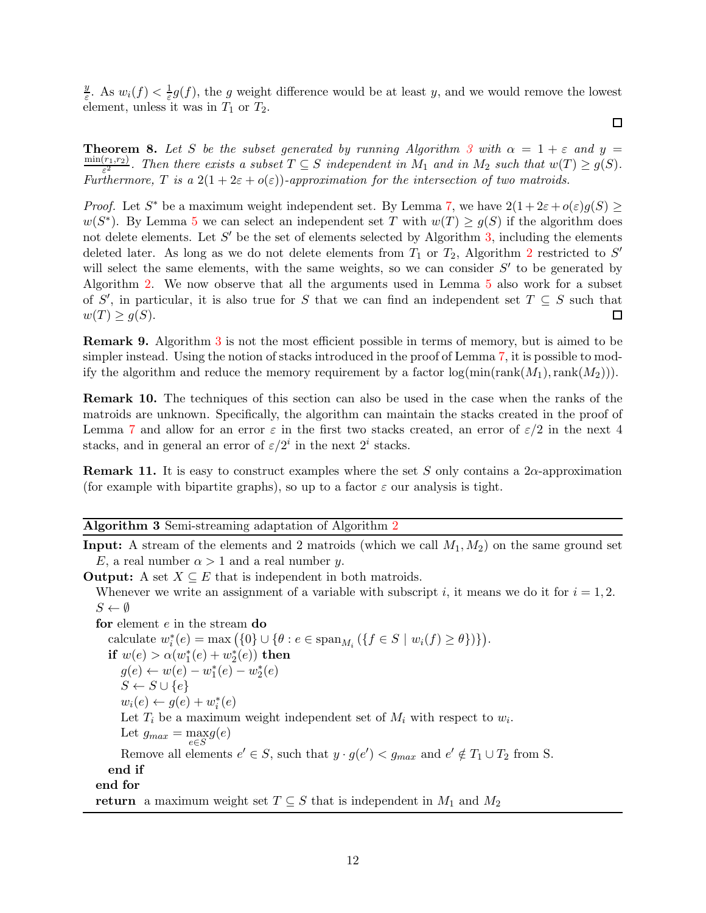$\overline{y}$  $\frac{y}{\varepsilon}$ . As  $w_i(f) < \frac{1}{\varepsilon}g(f)$ , the g weight difference would be at least y, and we would remove the lowest element, unless it was in  $T_1$  or  $T_2$ .

 $\Box$ 

<span id="page-11-1"></span>**Theorem 8.** Let S be the subset generated by running Algorithm [3](#page-11-0) with  $\alpha = 1 + \varepsilon$  and  $y =$  $min(r_1,r_2)$  $\frac{(r_1,r_2)}{\varepsilon^2}$ . Then there exists a subset  $T \subseteq S$  independent in  $M_1$  and in  $M_2$  such that  $w(T) \geq g(S)$ . Furthermore, T is a  $2(1+2\varepsilon+o(\varepsilon))$ -approximation for the intersection of two matroids.

*Proof.* Let S<sup>\*</sup> be a maximum weight independent set. By Lemma [7,](#page-10-0) we have  $2(1+2\varepsilon+o(\varepsilon)g(S) \geq$  $w(S^*)$ . By Lemma [5](#page-9-2) we can select an independent set T with  $w(T) \ge g(S)$  if the algorithm does not delete elements. Let  $S'$  be the set of elements selected by Algorithm [3,](#page-11-0) including the elements deleted later. As long as we do not delete elements from  $T_1$  or  $T_2$  $T_2$ , Algorithm 2 restricted to S' will select the same elements, with the same weights, so we can consider  $S'$  to be generated by Algorithm [2.](#page-6-0) We now observe that all the arguments used in Lemma [5](#page-9-2) also work for a subset of S', in particular, it is also true for S that we can find an independent set  $T \subseteq S$  such that  $w(T) \geq g(S)$ .

Remark 9. Algorithm [3](#page-11-0) is not the most efficient possible in terms of memory, but is aimed to be simpler instead. Using the notion of stacks introduced in the proof of Lemma [7,](#page-10-0) it is possible to modify the algorithm and reduce the memory requirement by a factor  $\log(\min(\operatorname{rank}(M_1),\operatorname{rank}(M_2)))$ .

Remark 10. The techniques of this section can also be used in the case when the ranks of the matroids are unknown. Specifically, the algorithm can maintain the stacks created in the proof of Lemma [7](#page-10-0) and allow for an error  $\varepsilon$  in the first two stacks created, an error of  $\varepsilon/2$  in the next 4 stacks, and in general an error of  $\varepsilon/2^i$  in the next  $2^i$  stacks.

**Remark 11.** It is easy to construct examples where the set S only contains a 2 $\alpha$ -approximation (for example with bipartite graphs), so up to a factor  $\varepsilon$  our analysis is tight.

#### <span id="page-11-0"></span>Algorithm 3 Semi-streaming adaptation of Algorithm [2](#page-6-0)

**Input:** A stream of the elements and 2 matroids (which we call  $M_1, M_2$ ) on the same ground set E, a real number  $\alpha > 1$  and a real number y.

**Output:** A set  $X \subseteq E$  that is independent in both matroids.

Whenever we write an assignment of a variable with subscript i, it means we do it for  $i = 1, 2$ .  $S \leftarrow \emptyset$ 

for element e in the stream do calculate  $w_i^*(e) = \max (\{0\} \cup \{\theta : e \in \text{span}_{M_i} (\{f \in S \mid w_i(f) \ge \theta\})\}).$ if  $w(e) > \alpha(w_1^*(e) + w_2^*(e))$  then  $g(e) \leftarrow w(e) - w_1^*(e) - w_2^*(e)$  $S \leftarrow S \cup \{e\}$  $w_i(e) \leftarrow g(e) + w_i^*(e)$ Let  $T_i$  be a maximum weight independent set of  $M_i$  with respect to  $w_i$ . Let  $g_{max} = \max_{e \in S} g(e)$ Remove all elements  $e' \in S$ , such that  $y \cdot g(e') < g_{max}$  and  $e' \notin T_1 \cup T_2$  from S. end if end for return a maximum weight set  $T \subseteq S$  that is independent in  $M_1$  and  $M_2$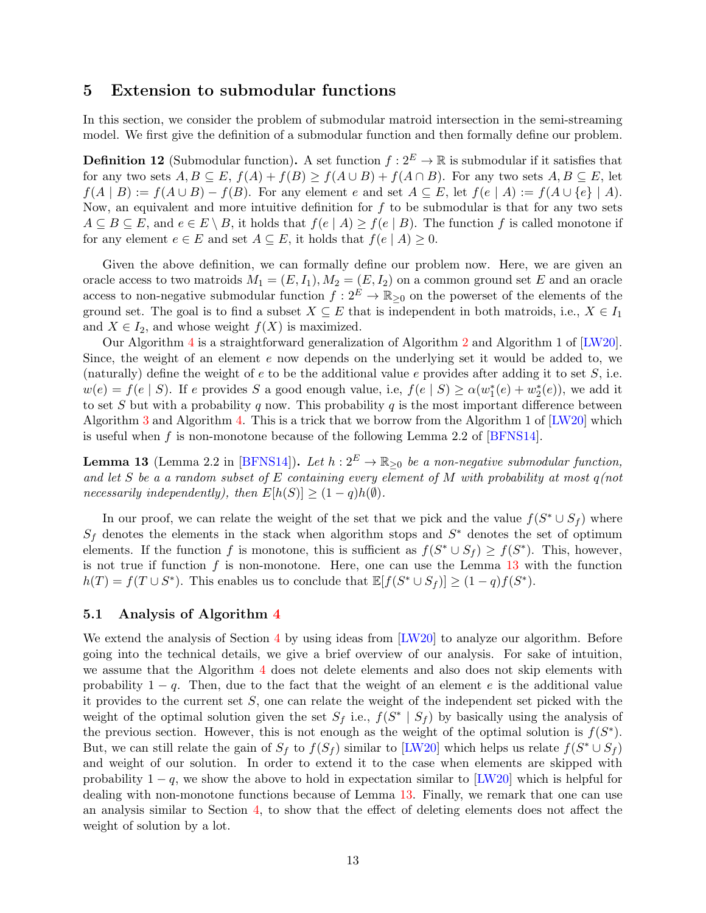### <span id="page-12-0"></span>5 Extension to submodular functions

In this section, we consider the problem of submodular matroid intersection in the semi-streaming model. We first give the definition of a submodular function and then formally define our problem.

**Definition 12** (Submodular function). A set function  $f: 2^E \to \mathbb{R}$  is submodular if it satisfies that for any two sets  $A, B \subseteq E, f(A) + f(B) \ge f(A \cup B) + f(A \cap B)$ . For any two sets  $A, B \subseteq E$ , let  $f(A | B) := f(A \cup B) - f(B)$ . For any element e and set  $A \subseteq E$ , let  $f(e | A) := f(A \cup \{e\} | A)$ . Now, an equivalent and more intuitive definition for  $f$  to be submodular is that for any two sets  $A \subseteq B \subseteq E$ , and  $e \in E \setminus B$ , it holds that  $f(e \mid A) \geq f(e \mid B)$ . The function f is called monotone if for any element  $e \in E$  and set  $A \subseteq E$ , it holds that  $f(e | A) \geq 0$ .

Given the above definition, we can formally define our problem now. Here, we are given an oracle access to two matroids  $M_1 = (E, I_1), M_2 = (E, I_2)$  on a common ground set E and an oracle access to non-negative submodular function  $f: 2^E \to \mathbb{R}_{\geq 0}$  on the powerset of the elements of the ground set. The goal is to find a subset  $X \subseteq E$  that is independent in both matroids, i.e.,  $X \in I_1$ and  $X \in I_2$ , and whose weight  $f(X)$  is maximized.

Our Algorithm [4](#page-13-0) is a straightforward generalization of Algorithm [2](#page-6-0) and Algorithm 1 of [\[LW20\]](#page-19-6). Since, the weight of an element e now depends on the underlying set it would be added to, we (naturally) define the weight of  $e$  to be the additional value  $e$  provides after adding it to set  $S$ , i.e.  $w(e) = f(e | S)$ . If e provides S a good enough value, i.e,  $f(e | S) \ge \alpha(w_1^*(e) + w_2^*(e))$ , we add it to set S but with a probability q now. This probability q is the most important difference between Algorithm [3](#page-11-0) and Algorithm [4.](#page-13-0) This is a trick that we borrow from the Algorithm 1 of [\[LW20\]](#page-19-6) which is useful when f is non-monotone because of the following Lemma 2.2 of  $[BFNS14]$ .

<span id="page-12-1"></span>**Lemma 13** (Lemma 2.2 in [\[BFNS14\]](#page-18-5)). Let  $h: 2^E \to \mathbb{R}_{\geq 0}$  be a non-negative submodular function, and let S be a a random subset of E containing every element of M with probability at most  $q(not)$ necessarily independently), then  $E[h(S)] \geq (1-q)h(\emptyset)$ .

In our proof, we can relate the weight of the set that we pick and the value  $f(S^* \cup S_f)$  where  $S_f$  denotes the elements in the stack when algorithm stops and  $S^*$  denotes the set of optimum elements. If the function f is monotone, this is sufficient as  $f(S^* \cup S_f) \ge f(S^*)$ . This, however, is not true if function  $f$  is non-monotone. Here, one can use the Lemma  $13$  with the function  $h(T) = f(T \cup S^*)$ . This enables us to conclude that  $\mathbb{E}[f(S^* \cup S_f)] \geq (1-q)f(S^*)$ .

### 5.1 Analysis of Algorithm [4](#page-13-0)

We extend the analysis of Section [4](#page-9-0) by using ideas from [\[LW20\]](#page-19-6) to analyze our algorithm. Before going into the technical details, we give a brief overview of our analysis. For sake of intuition, we assume that the Algorithm [4](#page-13-0) does not delete elements and also does not skip elements with probability  $1 - q$ . Then, due to the fact that the weight of an element e is the additional value it provides to the current set S, one can relate the weight of the independent set picked with the weight of the optimal solution given the set  $S_f$  i.e.,  $f(S^* | S_f)$  by basically using the analysis of the previous section. However, this is not enough as the weight of the optimal solution is  $f(S^*)$ . But, we can still relate the gain of  $S_f$  to  $f(S_f)$  similar to [\[LW20\]](#page-19-6) which helps us relate  $f(S^* \cup S_f)$ and weight of our solution. In order to extend it to the case when elements are skipped with probability  $1 - q$ , we show the above to hold in expectation similar to [\[LW20\]](#page-19-6) which is helpful for dealing with non-monotone functions because of Lemma [13.](#page-12-1) Finally, we remark that one can use an analysis similar to Section [4,](#page-9-0) to show that the effect of deleting elements does not affect the weight of solution by a lot.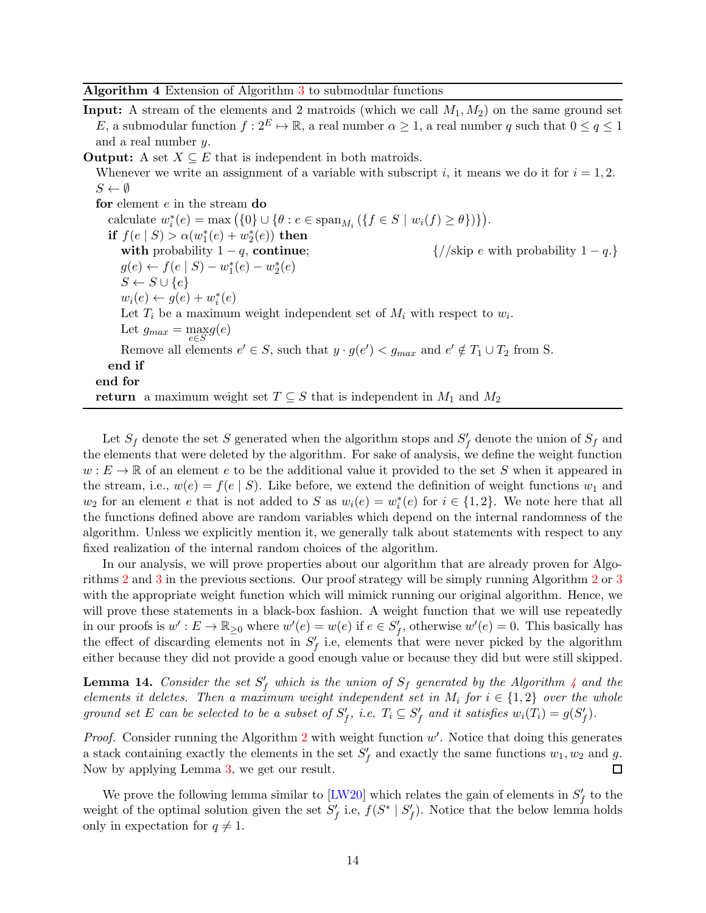<span id="page-13-0"></span>Algorithm 4 Extension of Algorithm [3](#page-11-0) to submodular functions

- **Input:** A stream of the elements and 2 matroids (which we call  $M_1, M_2$ ) on the same ground set E, a submodular function  $f: 2^E \mapsto \mathbb{R}$ , a real number  $\alpha \geq 1$ , a real number q such that  $0 \leq q \leq 1$ and a real number  $y$ .
- **Output:** A set  $X \subseteq E$  that is independent in both matroids. Whenever we write an assignment of a variable with subscript i, it means we do it for  $i = 1, 2$ .  $S \leftarrow \emptyset$ for element e in the stream do

calculate  $w_i^*(e) = \max (\{0\} \cup \{\theta : e \in \text{span}_{M_i} (\{f \in S \mid w_i(f) \ge \theta\})\}).$ if  $f(e | S) > \alpha(w_1^*(e) + w_2^*(e))$  then with probability  $1 - q$ , continue;  $\{\frac{\}{8}$  ( $\frac{\}{8}$  e with probability  $1 - q$ .)  $g(e) \leftarrow f(e | S) - w_1^*(e) - w_2^*(e)$  $S \leftarrow S \cup \{e\}$  $w_i(e) \leftarrow g(e) + w_i^*(e)$ Let  $T_i$  be a maximum weight independent set of  $M_i$  with respect to  $w_i$ . Let  $g_{max} = \max_{e \in S} g(e)$ Remove all elements  $e' \in S$ , such that  $y \cdot g(e') < g_{max}$  and  $e' \notin T_1 \cup T_2$  from S. end if end for return a maximum weight set  $T \subseteq S$  that is independent in  $M_1$  and  $M_2$ 

Let  $S_f$  denote the set S generated when the algorithm stops and  $S'_f$  denote the union of  $S_f$  and the elements that were deleted by the algorithm. For sake of analysis, we define the weight function  $w: E \to \mathbb{R}$  of an element e to be the additional value it provided to the set S when it appeared in the stream, i.e.,  $w(e) = f(e | S)$ . Like before, we extend the definition of weight functions  $w_1$  and  $w_2$  for an element e that is not added to S as  $w_i(e) = w_i^*(e)$  for  $i \in \{1,2\}$ . We note here that all the functions defined above are random variables which depend on the internal randomness of the algorithm. Unless we explicitly mention it, we generally talk about statements with respect to any fixed realization of the internal random choices of the algorithm.

In our analysis, we will prove properties about our algorithm that are already proven for Algorithms [2](#page-6-0) and [3](#page-11-0) in the previous sections. Our proof strategy will be simply running Algorithm [2](#page-6-0) or [3](#page-11-0) with the appropriate weight function which will mimick running our original algorithm. Hence, we will prove these statements in a black-box fashion. A weight function that we will use repeatedly in our proofs is  $w': E \to \mathbb{R}_{\geq 0}$  where  $w'(e) = w(e)$  if  $e \in S'_f$ , otherwise  $w'(e) = 0$ . This basically has the effect of discarding elements not in  $S_f'$  i.e, elements that were never picked by the algorithm either because they did not provide a good enough value or because they did but were still skipped.

<span id="page-13-1"></span>**Lemma 1[4](#page-13-0).** Consider the set  $S_f'$  which is the union of  $S_f$  generated by the Algorithm 4 and the elements it deletes. Then a maximum weight independent set in  $M_i$  for  $i \in \{1,2\}$  over the whole ground set E can be selected to be a subset of  $S'_f$ , i.e.  $T_i \subseteq S'_f$  and it satisfies  $w_i(T_i) = g(S'_f)$ .

*Proof.* Consider running the Algorithm  $2$  with weight function  $w'$ . Notice that doing this generates a stack containing exactly the elements in the set  $S_f'$  and exactly the same functions  $w_1, w_2$  and g. Now by applying Lemma [3,](#page-8-2) we get our result. □

<span id="page-13-2"></span>We prove the following lemma similar to  $[{\rm LW20}]$  which relates the gain of elements in  $S_f'$  to the weight of the optimal solution given the set  $S'_f$  i.e,  $f(S^* | S'_f)$ . Notice that the below lemma holds only in expectation for  $q \neq 1$ .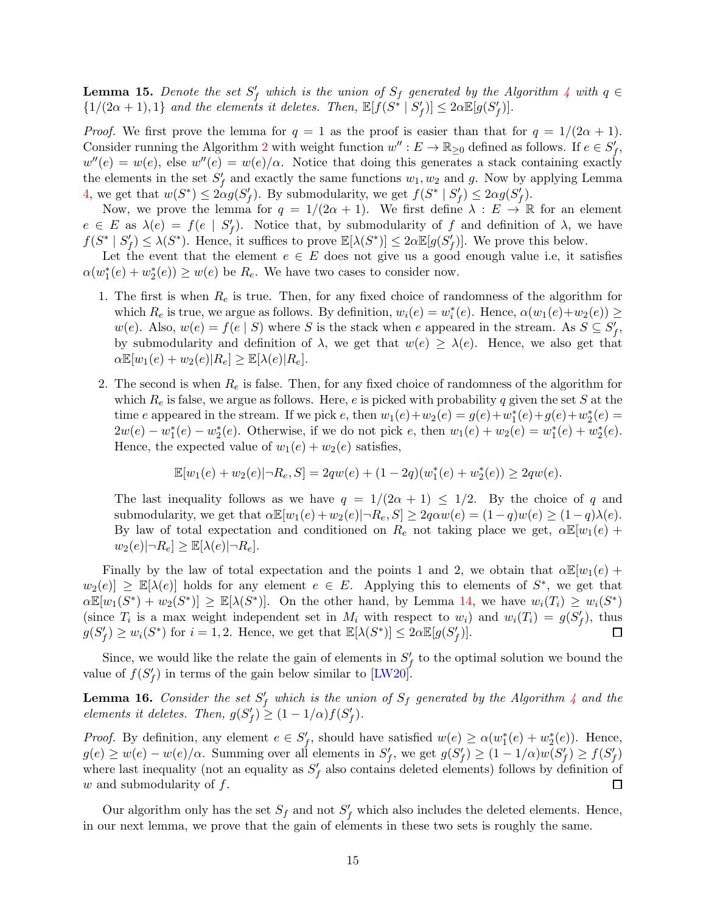**Lemma 15.** Denote the set  $S'_f$  which is the union of  $S_f$  generated by the Algorithm [4](#page-13-0) with  $q \in$  $\{1/(2\alpha+1),1\}$  and the elements it deletes. Then,  $\mathbb{E}[f(S^* | S'_f)] \leq 2\alpha \mathbb{E}[g(S'_f)]$ .

*Proof.* We first prove the lemma for  $q = 1$  as the proof is easier than that for  $q = 1/(2\alpha + 1)$ . Consider running the Algorithm [2](#page-6-0) with weight function  $w'' : E \to \mathbb{R}_{\geq 0}$  defined as follows. If  $e \in S'_f$ ,  $w''(e) = w(e)$ , else  $w''(e) = w(e)/\alpha$ . Notice that doing this generates a stack containing exactly the elements in the set  $S_f'$  and exactly the same functions  $w_1, w_2$  and g. Now by applying Lemma [4,](#page-9-1) we get that  $w(S^*) \leq 2\alpha g(S'_f)$ . By submodularity, we get  $f(S^* | S'_f) \leq 2\alpha g(S'_f)$ .

Now, we prove the lemma for  $q = 1/(2\alpha + 1)$ . We first define  $\lambda : E \to \mathbb{R}$  for an element  $e \in E$  as  $\lambda(e) = f(e \mid S'_f)$ . Notice that, by submodularity of f and definition of  $\lambda$ , we have  $f(S^* | S'_f) \leq \lambda(S^*)$ . Hence, it suffices to prove  $\mathbb{E}[\lambda(S^*)] \leq 2\alpha \mathbb{E}[g(S'_f)]$ . We prove this below.

Let the event that the element  $e \in E$  does not give us a good enough value i.e, it satisfies  $\alpha(w_1^*(e) + w_2^*(e)) \ge w(e)$  be  $R_e$ . We have two cases to consider now.

- 1. The first is when  $R_e$  is true. Then, for any fixed choice of randomness of the algorithm for which  $R_e$  is true, we argue as follows. By definition,  $w_i(e) = w_i^*(e)$ . Hence,  $\alpha(w_1(e) + w_2(e)) \ge$  $w(e)$ . Also,  $w(e) = f(e | S)$  where S is the stack when e appeared in the stream. As  $S \subseteq S'_{f}$ , by submodularity and definition of  $\lambda$ , we get that  $w(e) \geq \lambda(e)$ . Hence, we also get that  $\alpha \mathbb{E}[w_1(e) + w_2(e)|R_e] \geq \mathbb{E}[\lambda(e)|R_e].$
- 2. The second is when  $R_e$  is false. Then, for any fixed choice of randomness of the algorithm for which  $R_e$  is false, we argue as follows. Here, e is picked with probability q given the set S at the time e appeared in the stream. If we pick e, then  $w_1(e) + w_2(e) = g(e) + w_1^*(e) + g(e) + w_2^*(e) =$  $2w(e) - w_1^*(e) - w_2^*(e)$ . Otherwise, if we do not pick e, then  $w_1(e) + w_2(e) = w_1^*(e) + w_2^*(e)$ . Hence, the expected value of  $w_1(e) + w_2(e)$  satisfies,

$$
\mathbb{E}[w_1(e) + w_2(e)|\neg R_e, S] = 2qw(e) + (1 - 2q)(w_1^*(e) + w_2^*(e)) \ge 2qw(e).
$$

The last inequality follows as we have  $q = 1/(2\alpha + 1) \leq 1/2$ . By the choice of q and submodularity, we get that  $\alpha \mathbb{E}[w_1(e) + w_2(e)| \neg R_e, S] \geq 2q\alpha w(e) = (1-q)w(e) \geq (1-q)\lambda(e)$ . By law of total expectation and conditioned on  $R_e$  not taking place we get,  $\alpha \mathbb{E}[w_1(e) +$  $w_2(e)|\neg R_e| \geq \mathbb{E}[\lambda(e)|\neg R_e].$ 

Finally by the law of total expectation and the points 1 and 2, we obtain that  $\alpha \mathbb{E}[w_1(e) +$  $w_2(e) \geq \mathbb{E}[\lambda(e)]$  holds for any element  $e \in E$ . Applying this to elements of  $S^*$ , we get that  $\alpha \mathbb{E}[w_1(S^*) + w_2(S^*)] \geq \mathbb{E}[\lambda(S^*)]$ . On the other hand, by Lemma [14,](#page-13-1) we have  $w_i(T_i) \geq w_i(S^*)$ (since  $T_i$  is a max weight independent set in  $M_i$  with respect to  $w_i$ ) and  $w_i(T_i) = g(S'_f)$ , thus  $g(S'_f) \ge w_i(S^*)$  for  $i = 1, 2$ . Hence, we get that  $\mathbb{E}[\lambda(S^*)] \le 2\alpha \mathbb{E}[g(S'_f)]$ . □

Since, we would like the relate the gain of elements in  $S_f'$  to the optimal solution we bound the value of  $f(S'_f)$  in terms of the gain below similar to [\[LW20\]](#page-19-6).

<span id="page-14-0"></span>**Lemma 16.** Consider the set  $S_f'$  which is the union of  $S_f$  generated by the Algorithm [4](#page-13-0) and the elements it deletes. Then,  $g(S'_f) \geq (1 - 1/\alpha) f(S'_f)$ .

*Proof.* By definition, any element  $e \in S_f'$ , should have satisfied  $w(e) \ge \alpha(w_1^*(e) + w_2^*(e))$ . Hence,  $g(e) \geq w(e) - w(e)/\alpha$ . Summing over all elements in  $S_f'$ , we get  $g(S_f') \geq (1 - 1/\alpha)w(S_f') \geq f(S_f')$ where last inequality (not an equality as  $S_f'$  also contains deleted elements) follows by definition of  $w$  and submodularity of  $f$ .  $\Box$ 

<span id="page-14-1"></span>Our algorithm only has the set  $S_f$  and not  $S'_f$  which also includes the deleted elements. Hence, in our next lemma, we prove that the gain of elements in these two sets is roughly the same.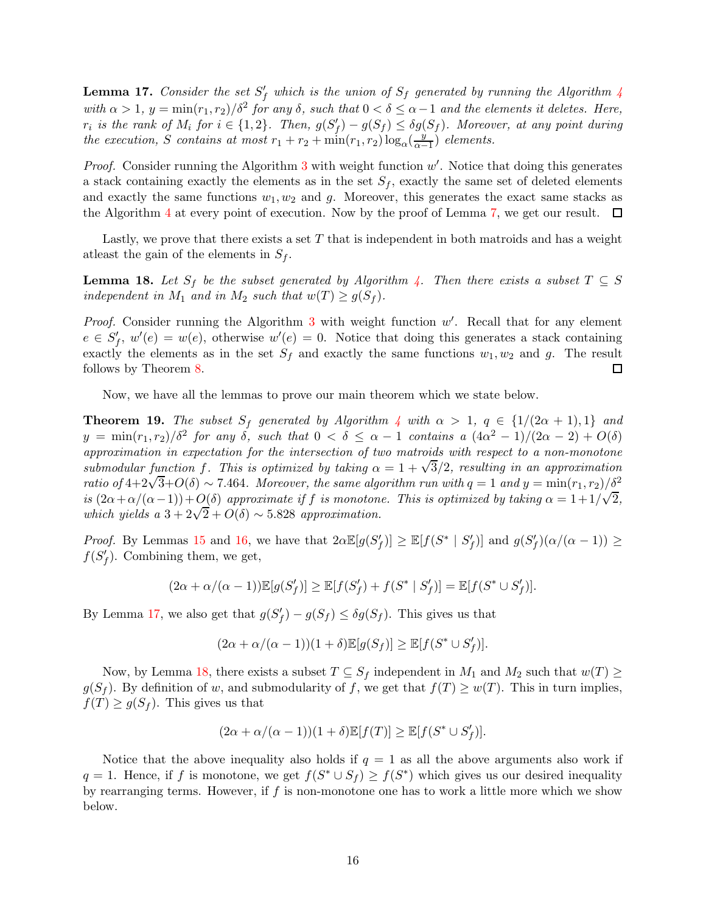**Lemma 17.** Consider the set  $S_f'$  which is the union of  $S_f$  generated by running the Algorithm [4](#page-13-0) with  $\alpha > 1$ ,  $y = \min(r_1, r_2)/\delta^2$  for any  $\delta$ , such that  $0 < \delta \leq \alpha - 1$  and the elements it deletes. Here,  $r_i$  is the rank of  $M_i$  for  $i \in \{1,2\}$ . Then,  $g(S'_f) - g(S_f) \leq \delta g(S_f)$ . Moreover, at any point during the execution, S contains at most  $r_1 + r_2 + \min(r_1, r_2) \log_{\alpha}(\frac{y}{\alpha - \alpha})$  $\frac{y}{\alpha-1}$ ) elements.

*Proof.* Consider running the Algorithm  $3$  with weight function  $w'$ . Notice that doing this generates a stack containing exactly the elements as in the set  $S_f$ , exactly the same set of deleted elements and exactly the same functions  $w_1, w_2$  and g. Moreover, this generates the exact same stacks as the Algorithm [4](#page-13-0) at every point of execution. Now by the proof of Lemma [7,](#page-10-0) we get our result.  $\Box$ 

<span id="page-15-0"></span>Lastly, we prove that there exists a set  $T$  that is independent in both matroids and has a weight at least the gain of the elements in  $S_f$ .

**Lemma 18.** Let  $S_f$  be the subset generated by Algorithm [4.](#page-13-0) Then there exists a subset  $T \subseteq S$ independent in  $M_1$  and in  $M_2$  such that  $w(T) \geq g(S_f)$ .

Proof. Consider running the Algorithm  $3$  with weight function  $w'$ . Recall that for any element  $e \in S_f'$ ,  $w'(e) = w(e)$ , otherwise  $w'(e) = 0$ . Notice that doing this generates a stack containing exactly the elements as in the set  $S_f$  and exactly the same functions  $w_1, w_2$  and g. The result follows by Theorem [8.](#page-11-1) □

Now, we have all the lemmas to prove our main theorem which we state below.

**Theorem 19.** The subset  $S_f$  generated by Algorithm [4](#page-13-0) with  $\alpha > 1$ ,  $q \in \{1/(2\alpha + 1), 1\}$  and  $y = \min(r_1, r_2)/\delta^2$  for any  $\delta$ , such that  $0 < \delta \leq \alpha - 1$  contains a  $(4\alpha^2 - 1)/(2\alpha - 2) + O(\delta)$ approximation in expectation for the intersection of two matroids with respect to a non-monotone submodular function f. This is optimized by taking  $\alpha = 1 + \sqrt{3}/2$ , resulting in an approximation ratio of  $4+2\sqrt{3}+O(\delta) \sim 7.464$ . Moreover, the same algorithm run with  $q = 1$  and  $y = \min(r_1, r_2)/\delta^2$ is  $(2\alpha + \alpha/(\alpha-1)) + O(\delta)$  approximate if f is monotone. This is optimized by taking  $\alpha = 1 + 1/\sqrt{2}$ , which yields a  $3 + 2\sqrt{2} + O(\delta) \sim 5.828$  approximation.

*Proof.* By Lemmas [15](#page-13-2) and [16,](#page-14-0) we have that  $2\alpha \mathbb{E}[g(S'_f)] \geq \mathbb{E}[f(S^* | S'_f)]$  and  $g(S'_f)(\alpha/(\alpha-1)) \geq$  $f(S'_f)$ . Combining them, we get,

$$
(2\alpha + \alpha/(\alpha - 1))\mathbb{E}[g(S'_f)] \ge \mathbb{E}[f(S'_f) + f(S^* | S'_f)] = \mathbb{E}[f(S^* \cup S'_f)].
$$

By Lemma [17,](#page-14-1) we also get that  $g(S'_f) - g(S_f) \leq \delta g(S_f)$ . This gives us that

$$
(2\alpha + \alpha/(\alpha - 1))(1 + \delta)\mathbb{E}[g(S_f)] \ge \mathbb{E}[f(S^* \cup S'_f)].
$$

Now, by Lemma [18,](#page-15-0) there exists a subset  $T \subseteq S_f$  independent in  $M_1$  and  $M_2$  such that  $w(T) \geq$  $g(S_f)$ . By definition of w, and submodularity of f, we get that  $f(T) \geq w(T)$ . This in turn implies,  $f(T) \ge g(S_f)$ . This gives us that

$$
(2\alpha + \alpha/(\alpha - 1))(1 + \delta)\mathbb{E}[f(T)] \ge \mathbb{E}[f(S^* \cup S'_f)].
$$

Notice that the above inequality also holds if  $q = 1$  as all the above arguments also work if  $q = 1$ . Hence, if f is monotone, we get  $f(S^* \cup S_f) \ge f(S^*)$  which gives us our desired inequality by rearranging terms. However, if  $f$  is non-monotone one has to work a little more which we show below.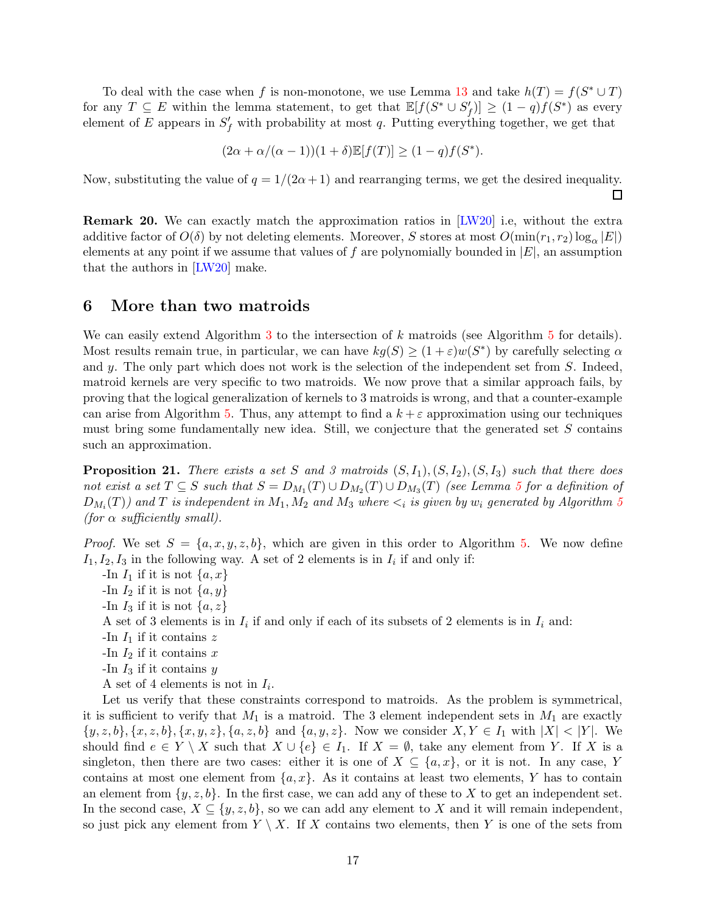To deal with the case when f is non-monotone, we use Lemma [13](#page-12-1) and take  $h(T) = f(S^* \cup T)$ for any  $T \subseteq E$  within the lemma statement, to get that  $\mathbb{E}[f(S^* \cup S'_f)] \geq (1-q)f(S^*)$  as every element of E appears in  $S_f'$  with probability at most q. Putting everything together, we get that

$$
(2\alpha + \alpha/(\alpha - 1))(1 + \delta)\mathbb{E}[f(T)] \ge (1 - q)f(S^*).
$$

Now, substituting the value of  $q = 1/(2\alpha + 1)$  and rearranging terms, we get the desired inequality.  $\Box$ 

Remark 20. We can exactly match the approximation ratios in [\[LW20\]](#page-19-6) i.e, without the extra additive factor of  $O(\delta)$  by not deleting elements. Moreover, S stores at most  $O(\min(r_1, r_2) \log_{\alpha} |E|)$ elements at any point if we assume that values of f are polynomially bounded in  $|E|$ , an assumption that the authors in [\[LW20\]](#page-19-6) make.

## <span id="page-16-0"></span>6 More than two matroids

We can easily extend Algorithm  $3$  to the intersection of k matroids (see Algorithm  $5$  for details). Most results remain true, in particular, we can have  $kg(S) \ge (1 + \varepsilon)w(S^*)$  by carefully selecting  $\alpha$ and  $y$ . The only part which does not work is the selection of the independent set from  $S$ . Indeed, matroid kernels are very specific to two matroids. We now prove that a similar approach fails, by proving that the logical generalization of kernels to 3 matroids is wrong, and that a counter-example can arise from Algorithm [5.](#page-18-6) Thus, any attempt to find a  $k + \varepsilon$  approximation using our techniques must bring some fundamentally new idea. Still, we conjecture that the generated set S contains such an approximation.

<span id="page-16-1"></span>**Proposition 21.** There exists a set S and 3 matroids  $(S, I_1), (S, I_2), (S, I_3)$  such that there does not exist a set  $T \subseteq S$  such that  $S = D_{M_1}(T) \cup D_{M_2}(T) \cup D_{M_3}(T)$  (see Lemma [5](#page-9-2) for a definition of  $D_{M_i}(T))$  and  $T$  is independent in  $M_1, M_2$  and  $M_3$  where  $<_i$  is given by  $w_i$  generated by Algorithm [5](#page-18-6) (for  $\alpha$  sufficiently small).

*Proof.* We set  $S = \{a, x, y, z, b\}$ , which are given in this order to Algorithm [5.](#page-18-6) We now define  $I_1, I_2, I_3$  in the following way. A set of 2 elements is in  $I_i$  if and only if:

-In  $I_1$  if it is not  $\{a, x\}$ 

- -In  $I_2$  if it is not  $\{a, y\}$
- -In  $I_3$  if it is not  $\{a, z\}$

A set of 3 elements is in  $I_i$  if and only if each of its subsets of 2 elements is in  $I_i$  and:

- -In  $I_1$  if it contains z
- -In  $I_2$  if it contains x
- -In  $I_3$  if it contains  $y$
- A set of 4 elements is not in  $I_i$ .

Let us verify that these constraints correspond to matroids. As the problem is symmetrical, it is sufficient to verify that  $M_1$  is a matroid. The 3 element independent sets in  $M_1$  are exactly  $\{y, z, b\}, \{x, z, b\}, \{x, y, z\}, \{a, z, b\}$  and  $\{a, y, z\}$ . Now we consider  $X, Y \in I_1$  with  $|X| < |Y|$ . We should find  $e \in Y \setminus X$  such that  $X \cup \{e\} \in I_1$ . If  $X = \emptyset$ , take any element from Y. If X is a singleton, then there are two cases: either it is one of  $X \subseteq \{a, x\}$ , or it is not. In any case, Y contains at most one element from  $\{a, x\}$ . As it contains at least two elements, Y has to contain an element from  $\{y, z, b\}$ . In the first case, we can add any of these to X to get an independent set. In the second case,  $X \subseteq \{y, z, b\}$ , so we can add any element to X and it will remain independent, so just pick any element from  $Y \setminus X$ . If X contains two elements, then Y is one of the sets from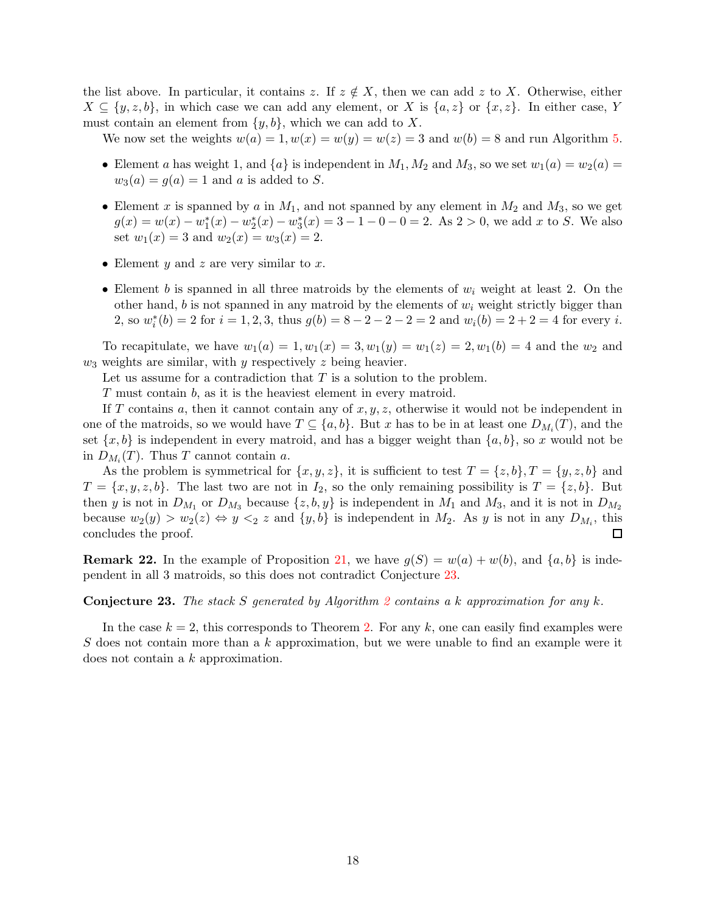the list above. In particular, it contains z. If  $z \notin X$ , then we can add z to X. Otherwise, either  $X \subseteq \{y, z, b\}$ , in which case we can add any element, or X is  $\{a, z\}$  or  $\{x, z\}$ . In either case, Y must contain an element from  $\{y, b\}$ , which we can add to X.

We now set the weights  $w(a) = 1, w(x) = w(y) = w(z) = 3$  and  $w(b) = 8$  and run Algorithm [5.](#page-18-6)

- Element a has weight 1, and  $\{a\}$  is independent in  $M_1, M_2$  and  $M_3$ , so we set  $w_1(a) = w_2(a)$  $w_3(a) = g(a) = 1$  and a is added to S.
- Element x is spanned by a in  $M_1$ , and not spanned by any element in  $M_2$  and  $M_3$ , so we get  $g(x) = w(x) - w_1^*(x) - w_2^*(x) - w_3^*(x) = 3 - 1 - 0 - 0 = 2$ . As  $2 > 0$ , we add x to S. We also set  $w_1(x) = 3$  and  $w_2(x) = w_3(x) = 2$ .
- Element  $y$  and  $z$  are very similar to  $x$ .
- Element b is spanned in all three matroids by the elements of  $w_i$  weight at least 2. On the other hand, b is not spanned in any matroid by the elements of  $w_i$  weight strictly bigger than 2, so  $w_i^*(b) = 2$  for  $i = 1, 2, 3$ , thus  $g(b) = 8 - 2 - 2 - 2 = 2$  and  $w_i(b) = 2 + 2 = 4$  for every i.

To recapitulate, we have  $w_1(a) = 1, w_1(x) = 3, w_1(y) = w_1(z) = 2, w_1(b) = 4$  and the  $w_2$  and  $w_3$  weights are similar, with y respectively z being heavier.

Let us assume for a contradiction that  $T$  is a solution to the problem.

T must contain b, as it is the heaviest element in every matroid.

If T contains a, then it cannot contain any of  $x, y, z$ , otherwise it would not be independent in one of the matroids, so we would have  $T \subseteq \{a, b\}$ . But x has to be in at least one  $D_{M_i}(T)$ , and the set  $\{x, b\}$  is independent in every matroid, and has a bigger weight than  $\{a, b\}$ , so x would not be in  $D_{M_i}(T)$ . Thus T cannot contain a.

As the problem is symmetrical for  $\{x, y, z\}$ , it is sufficient to test  $T = \{z, b\}$ ,  $T = \{y, z, b\}$  and  $T = \{x, y, z, b\}$ . The last two are not in  $I_2$ , so the only remaining possibility is  $T = \{z, b\}$ . But then y is not in  $D_{M_1}$  or  $D_{M_3}$  because  $\{z, b, y\}$  is independent in  $M_1$  and  $M_3$ , and it is not in  $D_{M_2}$ because  $w_2(y) > w_2(z) \Leftrightarrow y \leq_2 z$  and  $\{y, b\}$  is independent in  $M_2$ . As y is not in any  $D_{M_i}$ , this concludes the proof. 囗

**Remark 22.** In the example of Proposition [21,](#page-16-1) we have  $g(S) = w(a) + w(b)$ , and  $\{a, b\}$  is independent in all 3 matroids, so this does not contradict Conjecture [23.](#page-17-0)

<span id="page-17-0"></span>**Conjecture [2](#page-6-0)3.** The stack S generated by Algorithm 2 contains a k approximation for any k.

In the case  $k = 2$ , this corresponds to Theorem [2.](#page-8-1) For any k, one can easily find examples were S does not contain more than a  $k$  approximation, but we were unable to find an example were it does not contain a k approximation.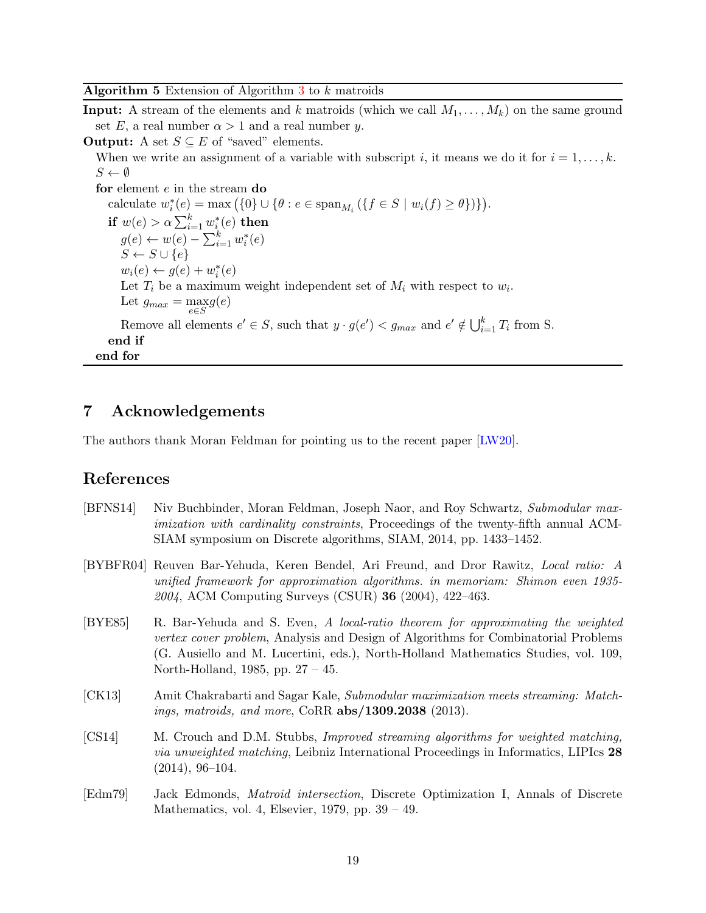<span id="page-18-6"></span>**Algorithm 5** Extension of Algorithm  $3$  to  $k$  matroids

**Input:** A stream of the elements and k matroids (which we call  $M_1, \ldots, M_k$ ) on the same ground set E, a real number  $\alpha > 1$  and a real number y.

**Output:** A set  $S \subseteq E$  of "saved" elements.

When we write an assignment of a variable with subscript i, it means we do it for  $i = 1, \ldots, k$ .  $S \leftarrow \emptyset$ 

for element e in the stream do calculate  $w_i^*(e) = \max(\{0\} \cup \{\theta : e \in \text{span}_{M_i} (\{f \in S \mid w_i(f) \ge \theta\})\}).$ if  $w(e) > \alpha \sum_{i=1}^k w_i^*(e)$  then  $g(e) \leftarrow w(e) - \sum_{i=1}^{k} w_i^*(e)$  $S \leftarrow S \cup \{e\}$  $w_i(e) \leftarrow g(e) + w_i^*(e)$ Let  $T_i$  be a maximum weight independent set of  $M_i$  with respect to  $w_i$ . Let  $g_{max} = \max_{e \in S} g(e)$ Remove all elements  $e' \in S$ , such that  $y \cdot g(e') < g_{max}$  and  $e' \notin \bigcup_{i=1}^{k} T_i$  from S. end if end for

## 7 Acknowledgements

The authors thank Moran Feldman for pointing us to the recent paper [\[LW20\]](#page-19-6).

### References

- <span id="page-18-5"></span>[BFNS14] Niv Buchbinder, Moran Feldman, Joseph Naor, and Roy Schwartz, Submodular maximization with cardinality constraints, Proceedings of the twenty-fifth annual ACM-SIAM symposium on Discrete algorithms, SIAM, 2014, pp. 1433–1452.
- <span id="page-18-1"></span>[BYBFR04] Reuven Bar-Yehuda, Keren Bendel, Ari Freund, and Dror Rawitz, Local ratio: A unified framework for approximation algorithms. in memoriam: Shimon even 1935- 2004, ACM Computing Surveys (CSUR) 36 (2004), 422–463.
- <span id="page-18-2"></span>[BYE85] R. Bar-Yehuda and S. Even, A local-ratio theorem for approximating the weighted vertex cover problem, Analysis and Design of Algorithms for Combinatorial Problems (G. Ausiello and M. Lucertini, eds.), North-Holland Mathematics Studies, vol. 109, North-Holland, 1985, pp. 27 – 45.
- <span id="page-18-3"></span>[CK13] Amit Chakrabarti and Sagar Kale, Submodular maximization meets streaming: Matchings, matroids, and more, CoRR abs/1309.2038 (2013).
- <span id="page-18-0"></span>[CS14] M. Crouch and D.M. Stubbs, Improved streaming algorithms for weighted matching, via unweighted matching, Leibniz International Proceedings in Informatics, LIPIcs 28 (2014), 96–104.
- <span id="page-18-4"></span>[Edm79] Jack Edmonds, Matroid intersection, Discrete Optimization I, Annals of Discrete Mathematics, vol. 4, Elsevier, 1979, pp. 39 – 49.